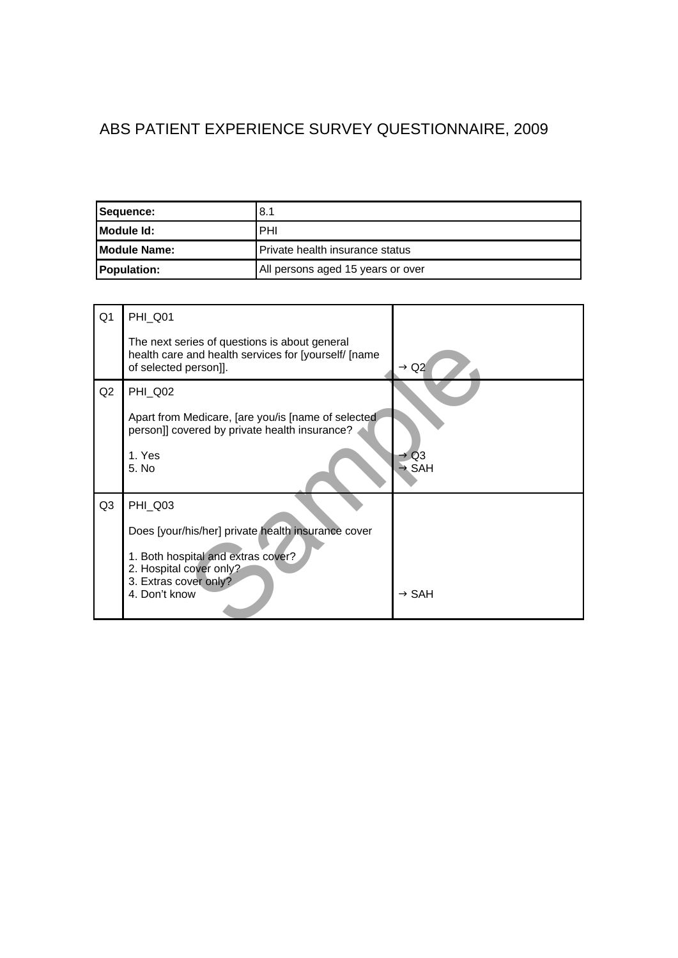## ABS PATIENT EXPERIENCE SURVEY QUESTIONNAIRE, 2009

| Sequence:            | 8.1                                    |
|----------------------|----------------------------------------|
| <b>IModule Id:</b>   | <b>PHI</b>                             |
| <b>IModule Name:</b> | <b>Private health insurance status</b> |
| <b>Population:</b>   | All persons aged 15 years or over      |

| Q <sub>1</sub> | PHI_Q01                                                                                                                        |                                       |
|----------------|--------------------------------------------------------------------------------------------------------------------------------|---------------------------------------|
|                | The next series of questions is about general<br>health care and health services for [yourself/ [name<br>of selected person]]. | $\rightarrow$ Q2                      |
| Q2             | <b>PHI_Q02</b>                                                                                                                 |                                       |
|                | Apart from Medicare, [are you/is [name of selected<br>person]] covered by private health insurance?                            |                                       |
|                | 1. Yes<br>5. No                                                                                                                | $\rightarrow$ Q3<br>$\rightarrow$ SAH |
| Q <sub>3</sub> | <b>PHI_Q03</b>                                                                                                                 |                                       |
|                | Does [your/his/her] private health insurance cover                                                                             |                                       |
|                | 1. Both hospital and extras cover?<br>2. Hospital cover only?<br>3. Extras cover only?                                         |                                       |
|                | 4. Don't know                                                                                                                  | $\rightarrow$ SAH                     |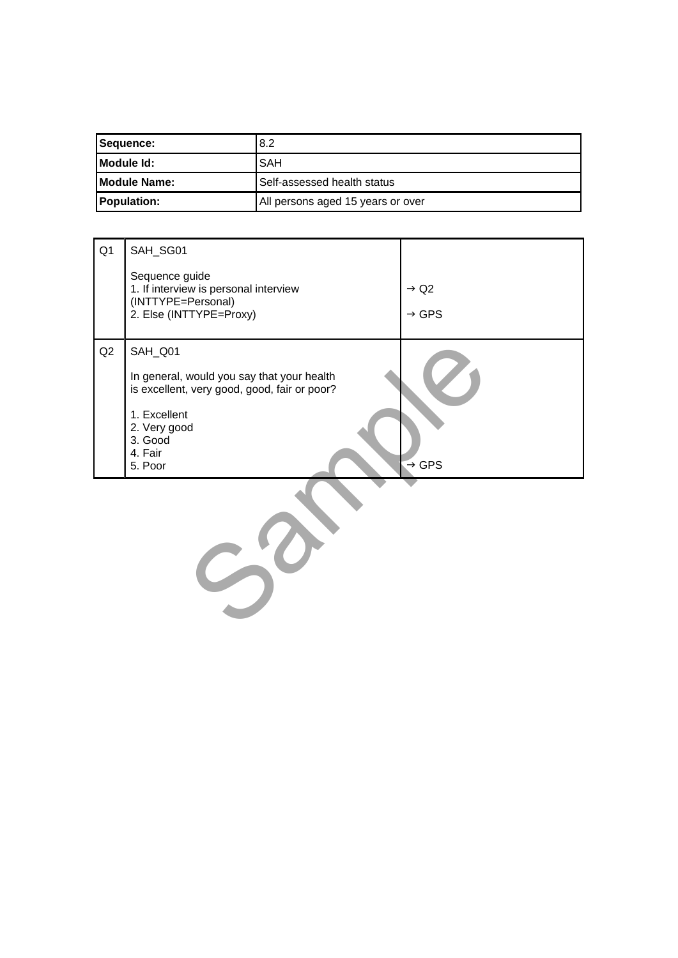| Sequence:            | 8.2                               |
|----------------------|-----------------------------------|
| <b>IModule Id:</b>   | <b>SAH</b>                        |
| <b>IModule Name:</b> | Self-assessed health status       |
| <b>Population:</b>   | All persons aged 15 years or over |

| Q <sub>1</sub> | SAH_SG01<br>Sequence guide<br>1. If interview is personal interview<br>(INTTYPE=Personal)<br>2. Else (INTTYPE=Proxy)                                                   | $\rightarrow$ Q2<br>$\rightarrow$ GPS |
|----------------|------------------------------------------------------------------------------------------------------------------------------------------------------------------------|---------------------------------------|
| Q2             | SAH_Q01<br>In general, would you say that your health<br>is excellent, very good, good, fair or poor?<br>1. Excellent<br>2. Very good<br>3. Good<br>4. Fair<br>5. Poor | $\rightarrow$ GPS                     |
|                |                                                                                                                                                                        |                                       |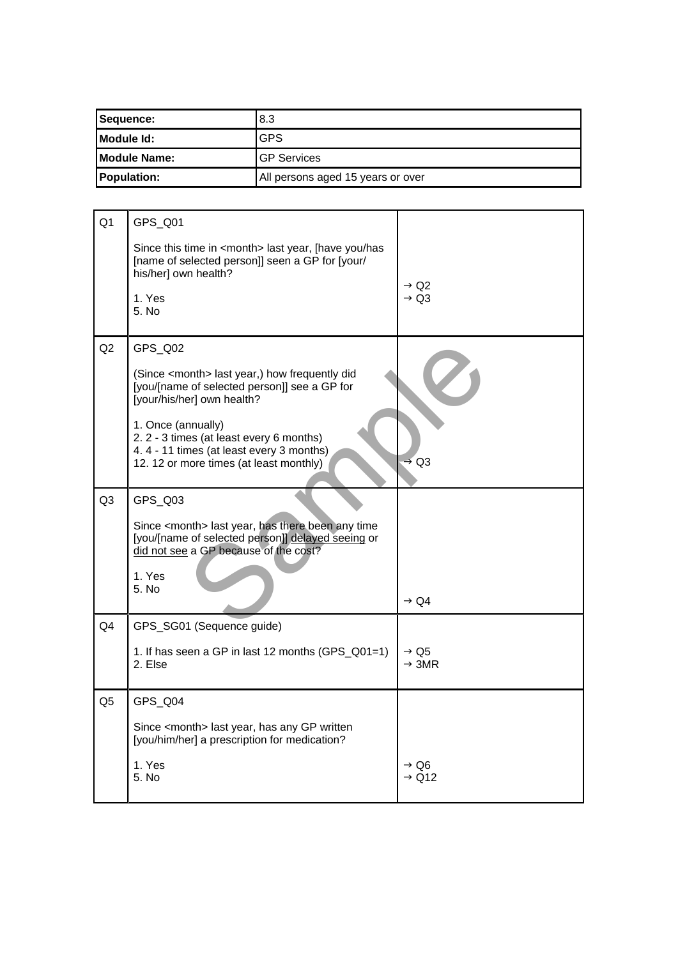| Sequence:            | 8.3                               |
|----------------------|-----------------------------------|
| Module Id:           | <b>GPS</b>                        |
| <b>IModule Name:</b> | <b>IGP Services</b>               |
| <b>Population:</b>   | All persons aged 15 years or over |

| Q <sub>1</sub> | GPS_Q01                                                                                                                                                  |                                       |
|----------------|----------------------------------------------------------------------------------------------------------------------------------------------------------|---------------------------------------|
|                | Since this time in <month> last year, [have you/has<br/>[name of selected person]] seen a GP for [your/<br/>his/her] own health?</month>                 |                                       |
|                | 1. Yes<br>5. N <sub>0</sub>                                                                                                                              | $\rightarrow$ Q2<br>$\rightarrow$ Q3  |
| Q2             | GPS_Q02                                                                                                                                                  |                                       |
|                | (Since <month> last year,) how frequently did<br/>[you/[name of selected person]] see a GP for<br/>[your/his/her] own health?</month>                    |                                       |
|                | 1. Once (annually)<br>2. 2 - 3 times (at least every 6 months)<br>4.4 - 11 times (at least every 3 months)<br>12. 12 or more times (at least monthly)    | $\rightarrow$ Q3                      |
| Q <sub>3</sub> | GPS_Q03                                                                                                                                                  |                                       |
|                | Since <month> last year, has there been any time<br/>[you/[name of selected person]] delayed seeing or<br/>did not see a GP because of the cost?</month> |                                       |
|                | 1. Yes<br>5. No                                                                                                                                          | $\rightarrow$ Q4                      |
| Q <sub>4</sub> | GPS_SG01 (Sequence guide)                                                                                                                                |                                       |
|                | 1. If has seen a GP in last 12 months (GPS_Q01=1)<br>2. Else                                                                                             | $\rightarrow$ Q5<br>$\rightarrow$ 3MR |
| Q <sub>5</sub> | GPS Q04                                                                                                                                                  |                                       |
|                | Since <month> last year, has any GP written<br/>[you/him/her] a prescription for medication?</month>                                                     |                                       |
|                | 1. Yes<br>5. No                                                                                                                                          | $\rightarrow$ Q6<br>$\rightarrow$ Q12 |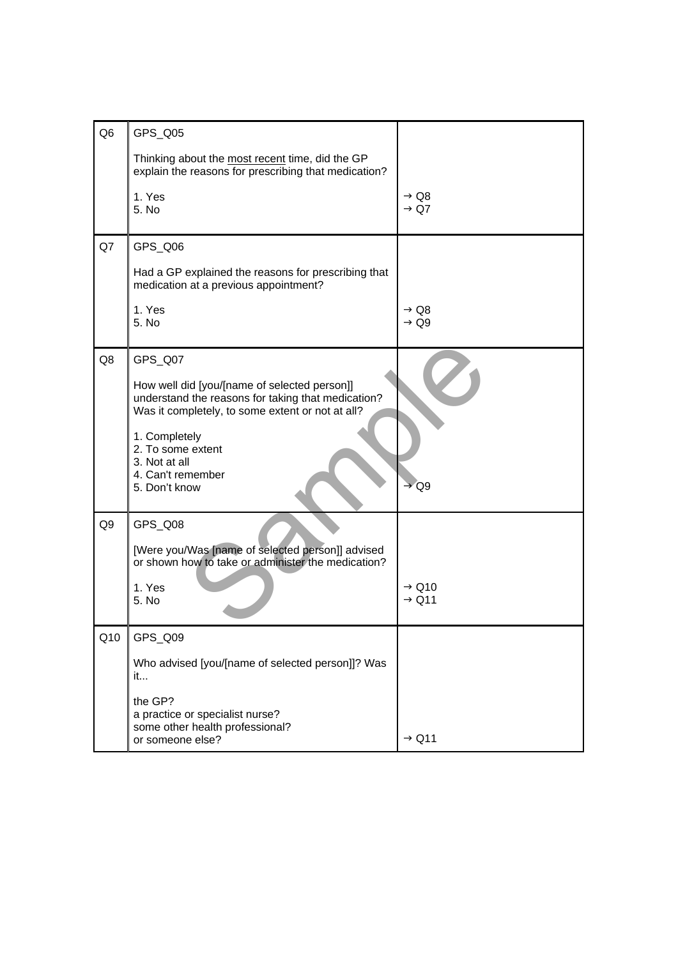| Q <sub>6</sub> | GPS_Q05                                                                                                                                                                                                                                                        |                                        |
|----------------|----------------------------------------------------------------------------------------------------------------------------------------------------------------------------------------------------------------------------------------------------------------|----------------------------------------|
|                | Thinking about the most recent time, did the GP<br>explain the reasons for prescribing that medication?                                                                                                                                                        |                                        |
|                | 1. Yes<br>5. No                                                                                                                                                                                                                                                | $\rightarrow$ Q8<br>$\rightarrow$ Q7   |
| Q7             | GPS_Q06                                                                                                                                                                                                                                                        |                                        |
|                | Had a GP explained the reasons for prescribing that<br>medication at a previous appointment?                                                                                                                                                                   |                                        |
|                | 1. Yes<br>5. No                                                                                                                                                                                                                                                | $\rightarrow$ Q8<br>$\rightarrow$ Q9   |
| Q8             | GPS_Q07<br>How well did [you/[name of selected person]]<br>understand the reasons for taking that medication?<br>Was it completely, to some extent or not at all?<br>1. Completely<br>2. To some extent<br>3. Not at all<br>4. Can't remember<br>5. Don't know | $\rightarrow$ Q9                       |
| Q <sub>9</sub> | GPS_Q08<br>[Were you/Was [name of selected person]] advised<br>or shown how to take or administer the medication?<br>1. Yes<br>5. No                                                                                                                           | $\rightarrow$ Q10<br>$\rightarrow$ Q11 |
| Q10            | GPS_Q09<br>Who advised [you/[name of selected person]]? Was<br>it<br>the GP?<br>a practice or specialist nurse?<br>some other health professional?<br>or someone else?                                                                                         | $\rightarrow$ Q11                      |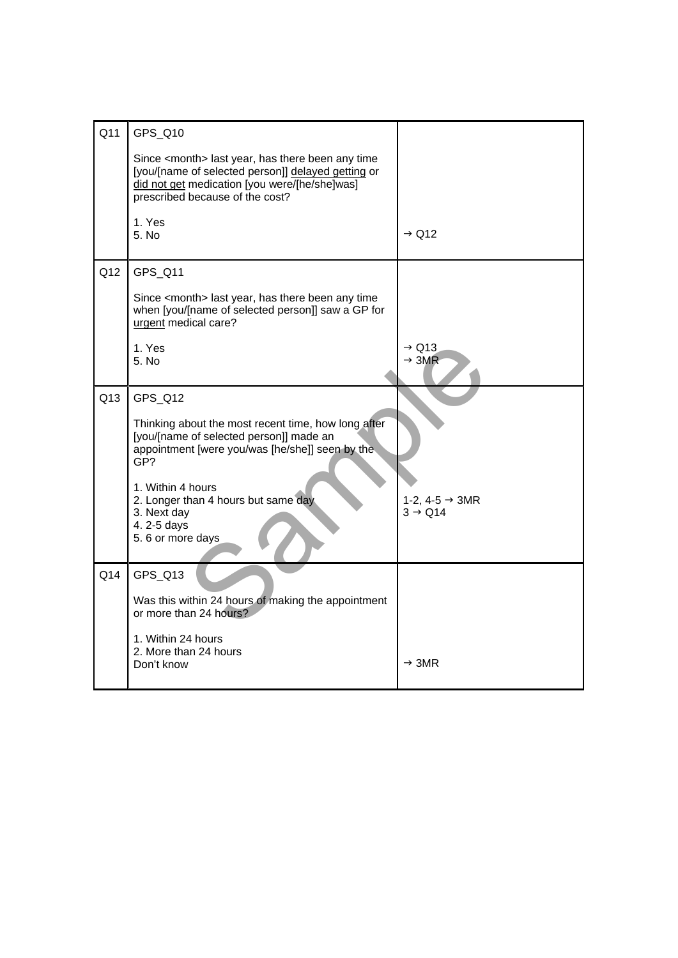| Q11 | GPS Q10                                                                                                                                                                                               |                                                   |
|-----|-------------------------------------------------------------------------------------------------------------------------------------------------------------------------------------------------------|---------------------------------------------------|
|     | Since <month> last year, has there been any time<br/>[you/[name of selected person]] delayed getting or<br/>did not get medication [you were/[he/she]was]<br/>prescribed because of the cost?</month> |                                                   |
|     | 1. Yes<br>5. No                                                                                                                                                                                       | $\rightarrow$ Q12                                 |
| Q12 | GPS_Q11                                                                                                                                                                                               |                                                   |
|     | Since <month> last year, has there been any time<br/>when [you/[name of selected person]] saw a GP for<br/>urgent medical care?</month>                                                               |                                                   |
|     | 1. Yes<br>5. No                                                                                                                                                                                       | $\rightarrow$ Q13<br>$\rightarrow$ 3MR            |
| Q13 | GPS_Q12                                                                                                                                                                                               |                                                   |
|     | Thinking about the most recent time, how long after<br>[you/[name of selected person]] made an<br>appointment [were you/was [he/she]] seen by the<br>GP?                                              |                                                   |
|     | 1. Within 4 hours<br>2. Longer than 4 hours but same day<br>3. Next day<br>4.2-5 days<br>5.6 or more days                                                                                             | 1-2, 4-5 $\rightarrow$ 3MR<br>$3 \rightarrow Q14$ |
| Q14 | GPS_Q13                                                                                                                                                                                               |                                                   |
|     | Was this within 24 hours of making the appointment<br>or more than 24 hours?                                                                                                                          |                                                   |
|     | 1. Within 24 hours<br>2. More than 24 hours<br>Don't know                                                                                                                                             | $\rightarrow$ 3MR                                 |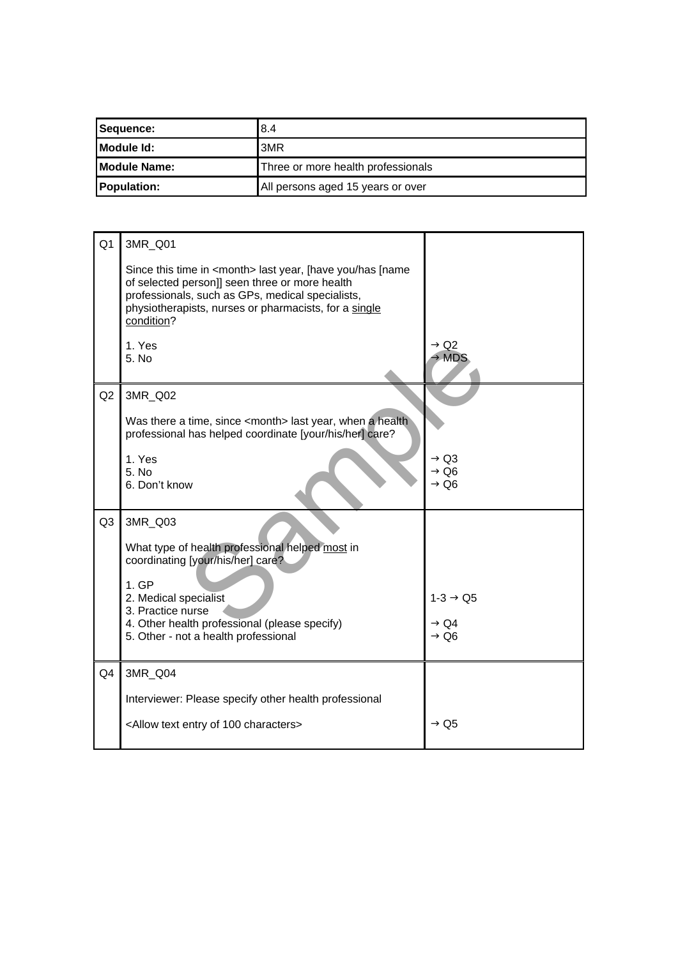| Sequence:            | 8.4                                |
|----------------------|------------------------------------|
| <b>IModule Id:</b>   | 3MR                                |
| <b>IModule Name:</b> | Three or more health professionals |
| <b>Population:</b>   | All persons aged 15 years or over  |

| Q <sub>1</sub> | 3MR Q01                                                                                                                                                                                                                                            |                                                          |
|----------------|----------------------------------------------------------------------------------------------------------------------------------------------------------------------------------------------------------------------------------------------------|----------------------------------------------------------|
|                | Since this time in <month> last year, [have you/has [name<br/>of selected person]] seen three or more health<br/>professionals, such as GPs, medical specialists,<br/>physiotherapists, nurses or pharmacists, for a single<br/>condition?</month> |                                                          |
|                | 1. Yes<br>5. No                                                                                                                                                                                                                                    | $\rightarrow$ Q2<br>MDS                                  |
| Q2             | 3MR_Q02                                                                                                                                                                                                                                            |                                                          |
|                | Was there a time, since <month> last year, when a health<br/>professional has helped coordinate [your/his/her] care?</month>                                                                                                                       |                                                          |
|                | 1. Yes<br>5. No<br>6. Don't know                                                                                                                                                                                                                   | $\rightarrow$ Q3<br>$\rightarrow$ Q6<br>$\rightarrow$ Q6 |
| Q3             | 3MR_Q03                                                                                                                                                                                                                                            |                                                          |
|                | What type of health professional helped most in<br>coordinating [your/his/her] care?                                                                                                                                                               |                                                          |
|                | 1.GP<br>2. Medical specialist                                                                                                                                                                                                                      | $1-3 \rightarrow Q5$                                     |
|                | 3. Practice nurse                                                                                                                                                                                                                                  |                                                          |
|                | 4. Other health professional (please specify)<br>5. Other - not a health professional                                                                                                                                                              | $\rightarrow$ Q4<br>$\rightarrow$ Q6                     |
| Q4             | 3MR_Q04                                                                                                                                                                                                                                            |                                                          |
|                | Interviewer: Please specify other health professional                                                                                                                                                                                              |                                                          |
|                | <allow 100="" characters="" entry="" of="" text=""></allow>                                                                                                                                                                                        | $\rightarrow$ Q5                                         |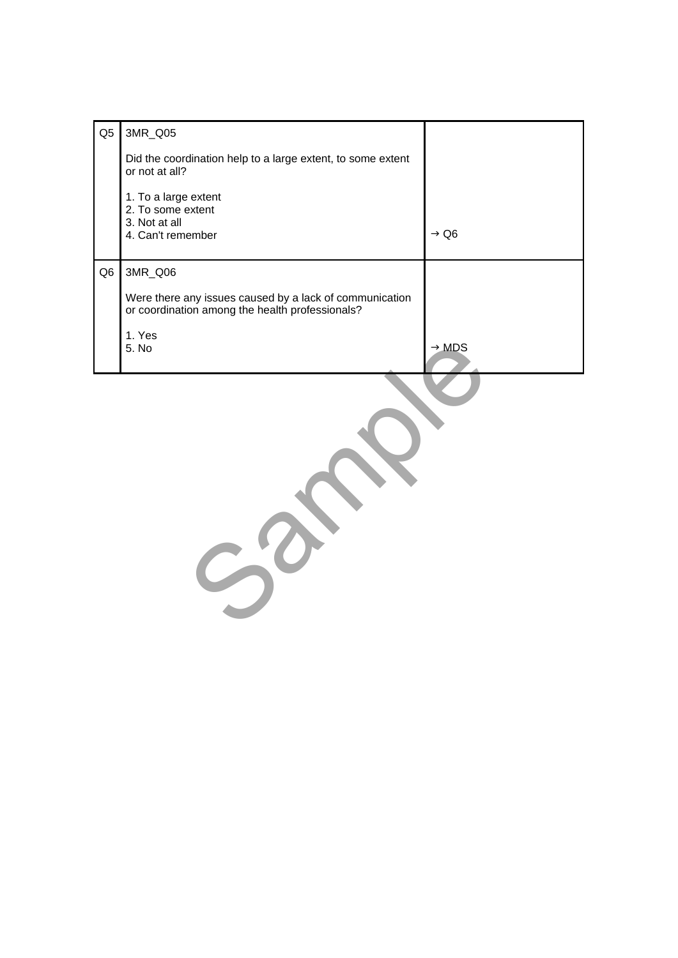| Q <sub>5</sub> | 3MR_Q05                                                                                                    |                   |
|----------------|------------------------------------------------------------------------------------------------------------|-------------------|
|                | Did the coordination help to a large extent, to some extent<br>or not at all?                              |                   |
|                | 1. To a large extent<br>2. To some extent                                                                  |                   |
|                | 3. Not at all<br>4. Can't remember                                                                         | $\rightarrow$ Q6  |
| Q <sub>6</sub> | 3MR_Q06                                                                                                    |                   |
|                | Were there any issues caused by a lack of communication<br>or coordination among the health professionals? |                   |
|                | 1. Yes<br>5. No                                                                                            | $\rightarrow$ MDS |
|                |                                                                                                            |                   |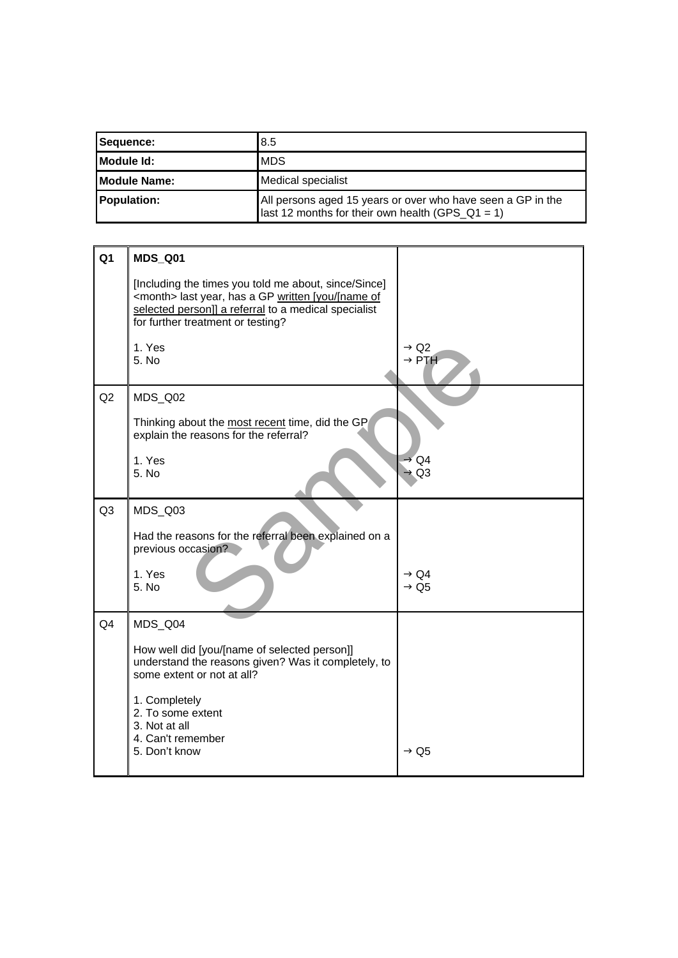| Sequence:                                         | 8.5                                                                                                             |
|---------------------------------------------------|-----------------------------------------------------------------------------------------------------------------|
| <b>IModule Id:</b>                                | <b>MDS</b>                                                                                                      |
| <b>IModule Name:</b><br><b>Medical specialist</b> |                                                                                                                 |
| <b>Population:</b>                                | All persons aged 15 years or over who have seen a GP in the<br>last 12 months for their own health (GPS_Q1 = 1) |

| Q <sub>1</sub> | <b>MDS_Q01</b>                                                                                                                                                                                                   |                                       |
|----------------|------------------------------------------------------------------------------------------------------------------------------------------------------------------------------------------------------------------|---------------------------------------|
|                | [Including the times you told me about, since/Since]<br><month> last year, has a GP written [you/[name of<br/>selected person]] a referral to a medical specialist<br/>for further treatment or testing?</month> |                                       |
|                | 1. Yes<br>5. No                                                                                                                                                                                                  | $\rightarrow$ Q2<br>$\rightarrow$ PTH |
| Q2             | MDS_Q02<br>Thinking about the most recent time, did the GP<br>explain the reasons for the referral?<br>1. Yes<br>5. No                                                                                           | $\rightarrow$ Q4<br>$\rightarrow$ Q3  |
| Q <sub>3</sub> | MDS_Q03                                                                                                                                                                                                          |                                       |
|                | Had the reasons for the referral been explained on a<br>previous occasion?                                                                                                                                       |                                       |
|                | 1. Yes<br>5. No                                                                                                                                                                                                  | $\rightarrow$ Q4<br>$\rightarrow$ Q5  |
| Q4             | MDS_Q04                                                                                                                                                                                                          |                                       |
|                | How well did [you/[name of selected person]]<br>understand the reasons given? Was it completely, to<br>some extent or not at all?                                                                                |                                       |
|                | 1. Completely<br>2. To some extent<br>3. Not at all<br>4. Can't remember<br>5. Don't know                                                                                                                        | $\rightarrow$ Q5                      |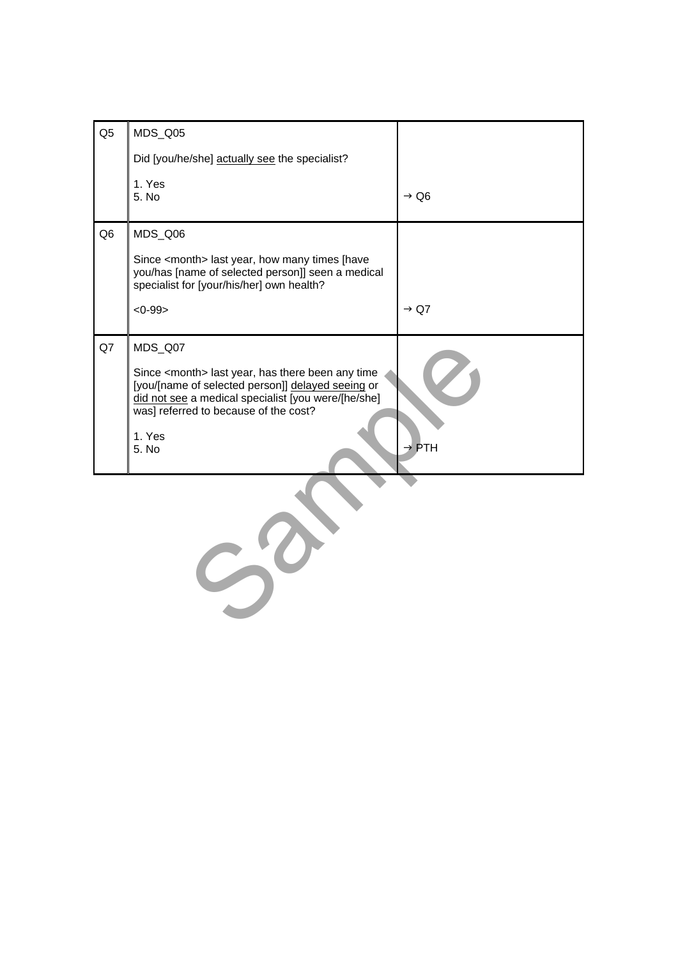| Q <sub>5</sub> | MDS_Q05                                                                                                                                                                                                                                          |                   |
|----------------|--------------------------------------------------------------------------------------------------------------------------------------------------------------------------------------------------------------------------------------------------|-------------------|
|                | Did [you/he/she] actually see the specialist?                                                                                                                                                                                                    |                   |
|                | 1. Yes<br>5. No                                                                                                                                                                                                                                  | $\rightarrow$ Q6  |
| Q <sub>6</sub> | MDS_Q06                                                                                                                                                                                                                                          |                   |
|                | Since <month> last year, how many times [have<br/>you/has [name of selected person]] seen a medical<br/>specialist for [your/his/her] own health?</month>                                                                                        |                   |
|                | $<0-99>$                                                                                                                                                                                                                                         | $\rightarrow$ Q7  |
| Q7             | MDS_Q07<br>Since <month> last year, has there been any time<br/>[you/[name of selected person]] delayed seeing or<br/>did not see a medical specialist [you were/[he/she]<br/>was] referred to because of the cost?<br/>1. Yes<br/>5. No</month> | $\rightarrow$ PTH |
|                |                                                                                                                                                                                                                                                  |                   |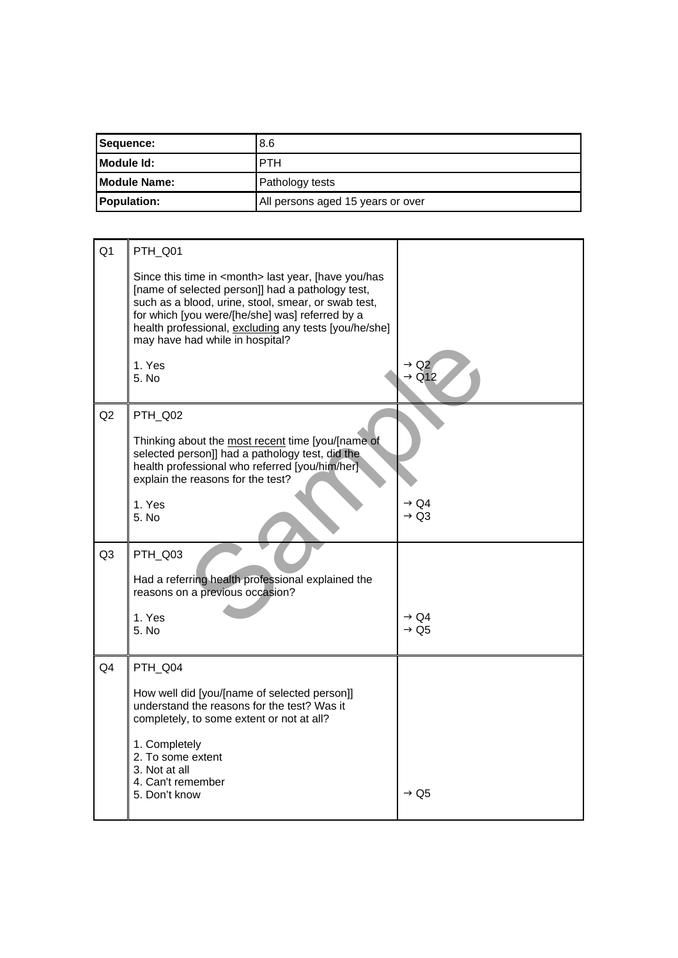| Sequence:            | 8.6                               |
|----------------------|-----------------------------------|
| Module Id:           | <b>PTH</b>                        |
| <b>IModule Name:</b> | Pathology tests                   |
| <b>Population:</b>   | All persons aged 15 years or over |

| Q <sub>1</sub> | PTH_Q01                                                                                                                                                                                                                                                                                                                    |                                       |
|----------------|----------------------------------------------------------------------------------------------------------------------------------------------------------------------------------------------------------------------------------------------------------------------------------------------------------------------------|---------------------------------------|
|                | Since this time in <month> last year, [have you/has<br/>[name of selected person]] had a pathology test,<br/>such as a blood, urine, stool, smear, or swab test,<br/>for which [you were/[he/she] was] referred by a<br/>health professional, excluding any tests [you/he/she]<br/>may have had while in hospital?</month> |                                       |
|                | 1. Yes<br>5. No                                                                                                                                                                                                                                                                                                            | $\rightarrow$ Q2<br>$\rightarrow$ Q12 |
| Q2             | PTH_Q02                                                                                                                                                                                                                                                                                                                    |                                       |
|                | Thinking about the most recent time [you/[name of<br>selected person]] had a pathology test, did the<br>health professional who referred [you/him/her]<br>explain the reasons for the test?                                                                                                                                |                                       |
|                | 1. Yes                                                                                                                                                                                                                                                                                                                     | $\rightarrow$ Q4<br>$\rightarrow$ Q3  |
|                | 5. No                                                                                                                                                                                                                                                                                                                      |                                       |
| Q <sub>3</sub> | PTH_Q03                                                                                                                                                                                                                                                                                                                    |                                       |
|                | Had a referring health professional explained the<br>reasons on a previous occasion?                                                                                                                                                                                                                                       |                                       |
|                | 1. Yes<br>5. No                                                                                                                                                                                                                                                                                                            | $\rightarrow$ Q4<br>$\rightarrow$ Q5  |
|                |                                                                                                                                                                                                                                                                                                                            |                                       |
| Q <sub>4</sub> | PTH_Q04                                                                                                                                                                                                                                                                                                                    |                                       |
|                | How well did [you/[name of selected person]]<br>understand the reasons for the test? Was it<br>completely, to some extent or not at all?                                                                                                                                                                                   |                                       |
|                | 1. Completely<br>2. To some extent<br>3. Not at all<br>4. Can't remember                                                                                                                                                                                                                                                   |                                       |
|                | 5. Don't know                                                                                                                                                                                                                                                                                                              | $\rightarrow$ Q5                      |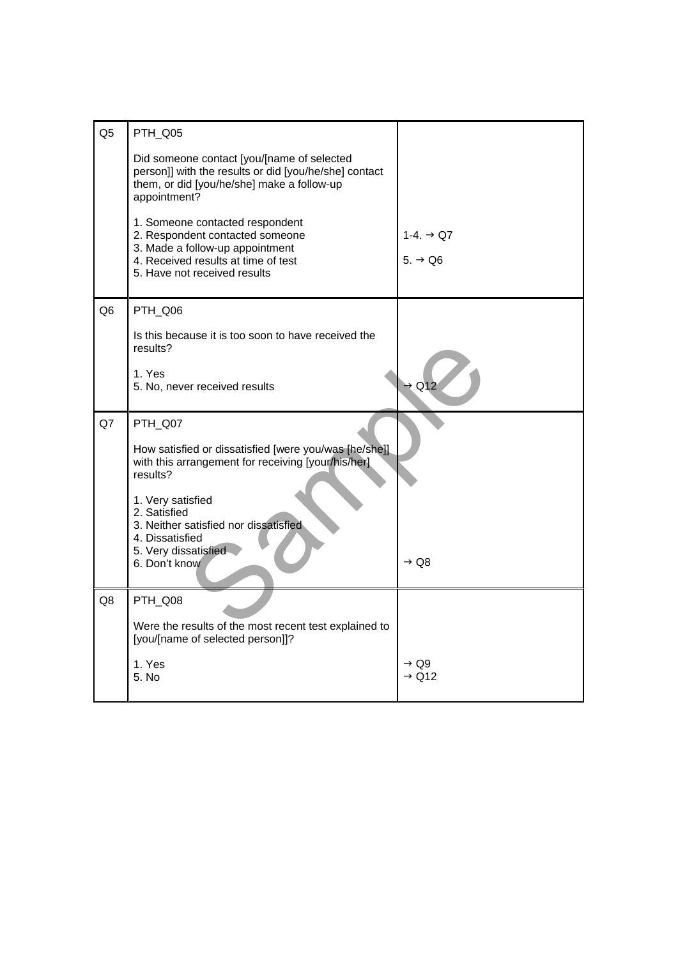| Q <sub>5</sub> | PTH_Q05                                                                                             |                                       |
|----------------|-----------------------------------------------------------------------------------------------------|---------------------------------------|
|                |                                                                                                     |                                       |
|                | Did someone contact [you/[name of selected<br>person]] with the results or did [you/he/she] contact |                                       |
|                | them, or did [you/he/she] make a follow-up<br>appointment?                                          |                                       |
|                |                                                                                                     |                                       |
|                | 1. Someone contacted respondent<br>2. Respondent contacted someone                                  | 1-4. $\rightarrow$ Q7                 |
|                | 3. Made a follow-up appointment<br>4. Received results at time of test                              | $5. \rightarrow Q6$                   |
|                | 5. Have not received results                                                                        |                                       |
|                |                                                                                                     |                                       |
| Q <sub>6</sub> | PTH_Q06                                                                                             |                                       |
|                | Is this because it is too soon to have received the                                                 |                                       |
|                | results?                                                                                            |                                       |
|                | 1. Yes<br>5. No, never received results                                                             | $\rightarrow$ Q12                     |
|                |                                                                                                     |                                       |
| Q7             | PTH_Q07                                                                                             |                                       |
|                | How satisfied or dissatisfied [were you/was [he/she]].                                              |                                       |
|                |                                                                                                     |                                       |
|                | with this arrangement for receiving [your/his/her]                                                  |                                       |
|                | results?                                                                                            |                                       |
|                | 1. Very satisfied                                                                                   |                                       |
|                | 2. Satisfied<br>3. Neither satisfied nor dissatisfied                                               |                                       |
|                | 4. Dissatisfied                                                                                     |                                       |
|                | 5. Very dissatisfied<br>6. Don't know                                                               | $\rightarrow$ Q8                      |
|                |                                                                                                     |                                       |
| Q8             | PTH Q08                                                                                             |                                       |
|                | Were the results of the most recent test explained to                                               |                                       |
|                | [you/[name of selected person]]?                                                                    |                                       |
|                | 1. Yes<br>5. No                                                                                     | $\rightarrow$ Q9<br>$\rightarrow$ Q12 |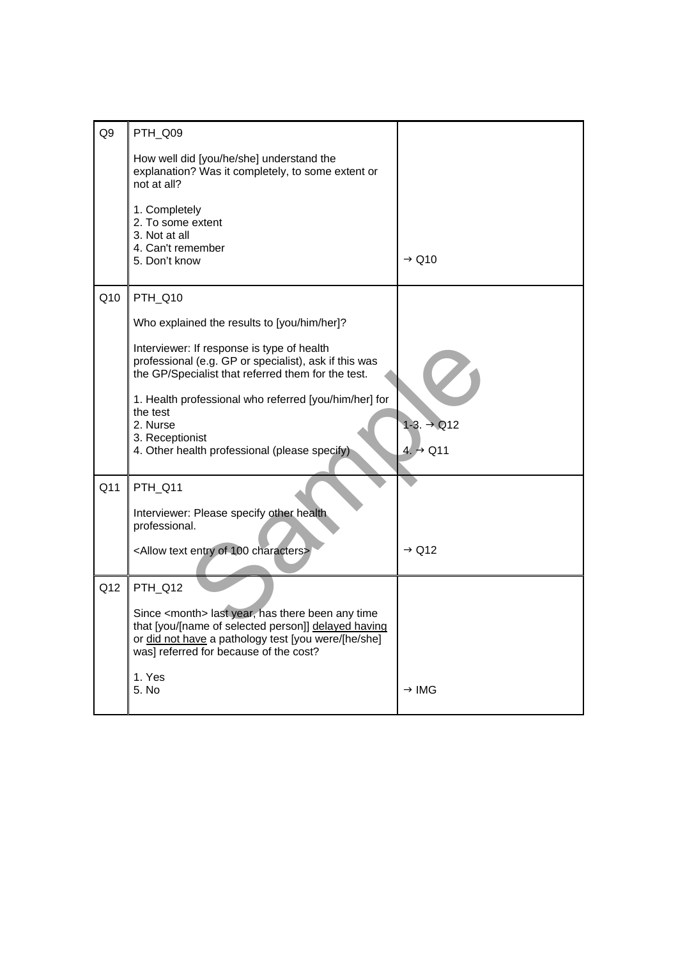| Q <sub>9</sub>  | PTH_Q09                                                                                                                                                                                                             |                        |
|-----------------|---------------------------------------------------------------------------------------------------------------------------------------------------------------------------------------------------------------------|------------------------|
|                 | How well did [you/he/she] understand the<br>explanation? Was it completely, to some extent or<br>not at all?                                                                                                        |                        |
|                 | 1. Completely<br>2. To some extent<br>3. Not at all<br>4. Can't remember<br>5. Don't know                                                                                                                           | $\rightarrow$ Q10      |
| Q10             | PTH_Q10                                                                                                                                                                                                             |                        |
|                 | Who explained the results to [you/him/her]?                                                                                                                                                                         |                        |
|                 | Interviewer: If response is type of health<br>professional (e.g. GP or specialist), ask if this was<br>the GP/Specialist that referred them for the test.                                                           |                        |
|                 | 1. Health professional who referred [you/him/her] for<br>the test<br>2. Nurse<br>3. Receptionist                                                                                                                    | $1-3. \rightarrow Q12$ |
|                 | 4. Other health professional (please specify)                                                                                                                                                                       | $4. \rightarrow Q11$   |
| Q <sub>11</sub> | PTH Q11                                                                                                                                                                                                             |                        |
|                 | Interviewer: Please specify other health.<br>professional.                                                                                                                                                          |                        |
|                 | <allow 100="" characters="" entry="" of="" text=""></allow>                                                                                                                                                         | $\rightarrow$ Q12      |
| Q12             | PTH_Q12                                                                                                                                                                                                             |                        |
|                 | Since <month> last year, has there been any time<br/>that [you/[name of selected person]] delayed having<br/>or did not have a pathology test [you were/[he/she]<br/>was] referred for because of the cost?</month> |                        |
|                 | 1. Yes<br>5. No                                                                                                                                                                                                     | → IMG                  |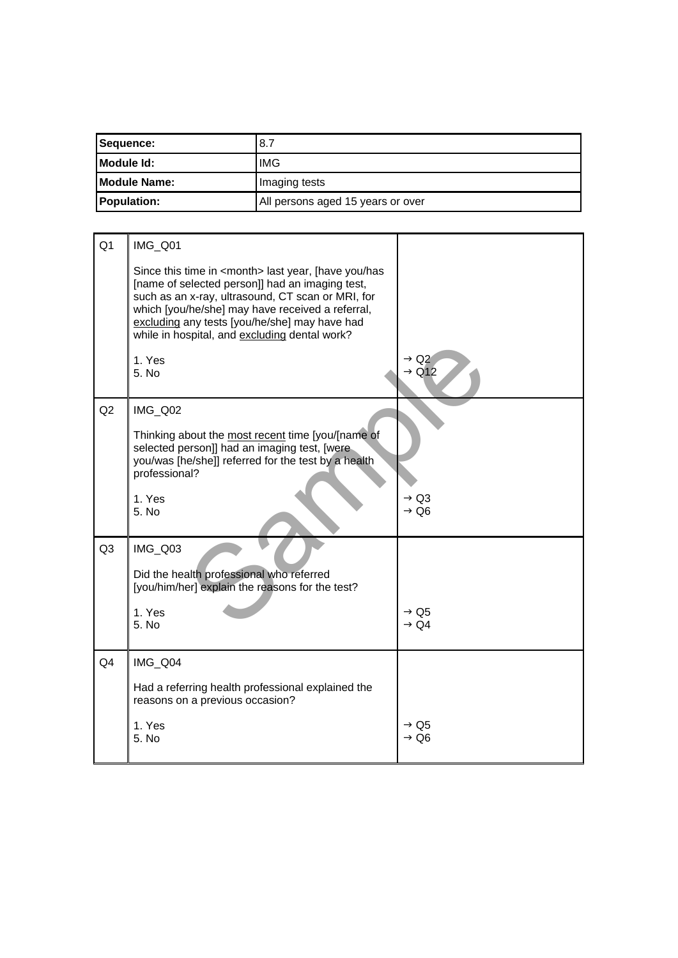| Sequence:            | .8.7                              |
|----------------------|-----------------------------------|
| Module Id:           | <b>IMG</b>                        |
| <b>IModule Name:</b> | Imaging tests                     |
| <b>Population:</b>   | All persons aged 15 years or over |

| Q <sub>1</sub> | IMG_Q01                                                                                                                                                                                                                                                                                                                        |                                                  |
|----------------|--------------------------------------------------------------------------------------------------------------------------------------------------------------------------------------------------------------------------------------------------------------------------------------------------------------------------------|--------------------------------------------------|
|                | Since this time in <month> last year, [have you/has<br/>[name of selected person]] had an imaging test,<br/>such as an x-ray, ultrasound, CT scan or MRI, for<br/>which [you/he/she] may have received a referral,<br/>excluding any tests [you/he/she] may have had<br/>while in hospital, and excluding dental work?</month> |                                                  |
|                | 1. Yes<br>5. No                                                                                                                                                                                                                                                                                                                | $\rightarrow$ Q2<br>$\rightarrow$ Q12            |
| Q2             | IMG_Q02                                                                                                                                                                                                                                                                                                                        |                                                  |
|                | Thinking about the most recent time [you/[name of<br>selected person]] had an imaging test, [were<br>you/was [he/she]] referred for the test by a health<br>professional?                                                                                                                                                      |                                                  |
|                | 1. Yes<br>5. No                                                                                                                                                                                                                                                                                                                | $\rightarrow$ Q3<br>$\rightarrow$ Q6             |
| Q <sub>3</sub> | IMG_Q03                                                                                                                                                                                                                                                                                                                        |                                                  |
|                | Did the health professional who referred<br>[you/him/her] explain the reasons for the test?                                                                                                                                                                                                                                    |                                                  |
|                | 1. Yes                                                                                                                                                                                                                                                                                                                         | $\rightarrow$ Q <sub>5</sub><br>$\rightarrow$ Q4 |
|                | 5. No                                                                                                                                                                                                                                                                                                                          |                                                  |
| Q <sub>4</sub> | IMG_Q04                                                                                                                                                                                                                                                                                                                        |                                                  |
|                | Had a referring health professional explained the<br>reasons on a previous occasion?                                                                                                                                                                                                                                           |                                                  |
|                | 1. Yes<br>5. No                                                                                                                                                                                                                                                                                                                | $\rightarrow$ Q5<br>→ Q6                         |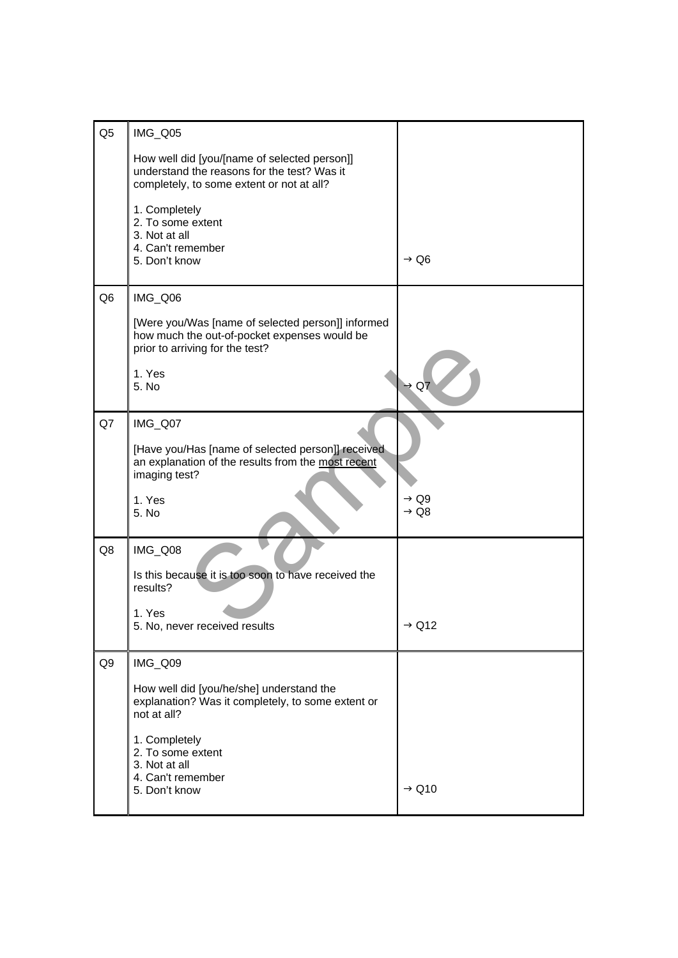| Q <sub>5</sub> | IMG_Q05                                                                                                                                  |                                      |
|----------------|------------------------------------------------------------------------------------------------------------------------------------------|--------------------------------------|
|                | How well did [you/[name of selected person]]<br>understand the reasons for the test? Was it<br>completely, to some extent or not at all? |                                      |
|                | 1. Completely<br>2. To some extent<br>3. Not at all<br>4. Can't remember<br>5. Don't know                                                | $\rightarrow$ Q6                     |
| Q <sub>6</sub> | IMG_Q06                                                                                                                                  |                                      |
|                | [Were you/Was [name of selected person]] informed<br>how much the out-of-pocket expenses would be<br>prior to arriving for the test?     |                                      |
|                | 1. Yes<br>5. No                                                                                                                          | $\rightarrow$ Q7                     |
| Q7             | IMG_Q07                                                                                                                                  |                                      |
|                | [Have you/Has [name of selected person]] received<br>an explanation of the results from the most recent<br>imaging test?                 |                                      |
|                | 1. Yes<br>5. No                                                                                                                          | $\rightarrow$ Q9<br>$\rightarrow$ Q8 |
| Q8             | IMG_Q08                                                                                                                                  |                                      |
|                | Is this because it is too soon to have received the<br>results?                                                                          |                                      |
|                | 1. Yes<br>5. No, never received results                                                                                                  | $\rightarrow$ Q12                    |
| Q9             | IMG_Q09                                                                                                                                  |                                      |
|                | How well did [you/he/she] understand the<br>explanation? Was it completely, to some extent or<br>not at all?                             |                                      |
|                | 1. Completely<br>2. To some extent<br>3. Not at all<br>4. Can't remember                                                                 |                                      |
|                | 5. Don't know                                                                                                                            | $\rightarrow$ Q10                    |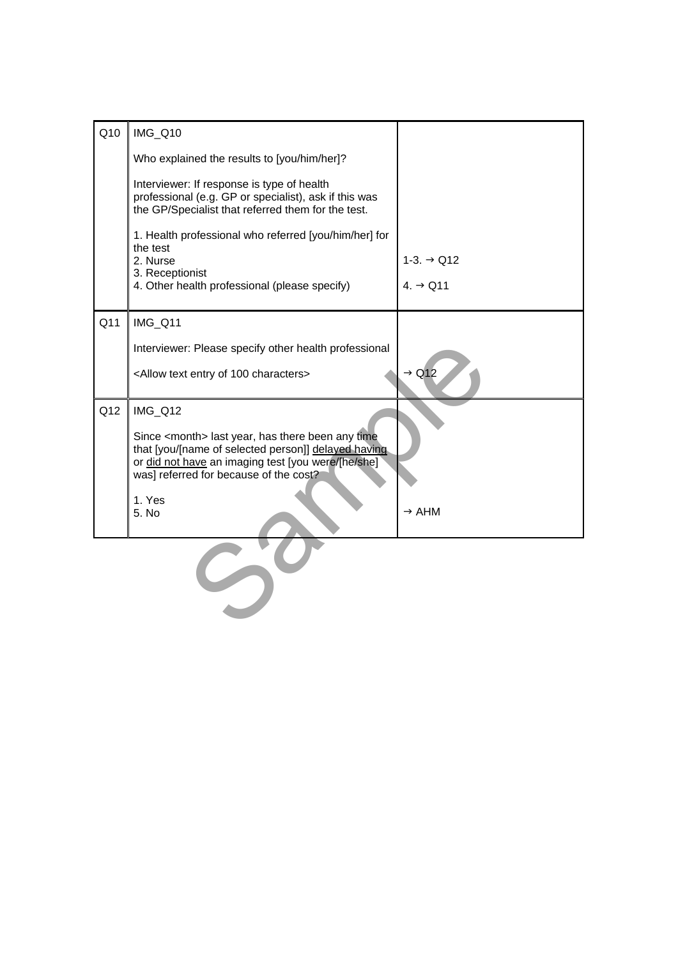| Q10 | IMG_Q10                                                                                                                                                   |                        |
|-----|-----------------------------------------------------------------------------------------------------------------------------------------------------------|------------------------|
|     | Who explained the results to [you/him/her]?                                                                                                               |                        |
|     | Interviewer: If response is type of health<br>professional (e.g. GP or specialist), ask if this was<br>the GP/Specialist that referred them for the test. |                        |
|     | 1. Health professional who referred [you/him/her] for<br>the test<br>2. Nurse                                                                             | $1-3. \rightarrow Q12$ |
|     | 3. Receptionist                                                                                                                                           |                        |
|     | 4. Other health professional (please specify)                                                                                                             | $4. \rightarrow Q11$   |
|     |                                                                                                                                                           |                        |
| Q11 | IMG_Q11                                                                                                                                                   |                        |
|     | Interviewer: Please specify other health professional                                                                                                     |                        |
|     | <allow 100="" characters="" entry="" of="" text=""></allow>                                                                                               | $\rightarrow$ Q12      |
| Q12 | IMG_Q12                                                                                                                                                   |                        |
|     | Since <month> last year, has there been any time<br/>that [you/[name of selected person]] delayed having</month>                                          |                        |
|     | or did not have an imaging test [you were/[he/she]<br>was] referred for because of the cost?                                                              |                        |
|     | 1. Yes                                                                                                                                                    |                        |
|     | 5. No                                                                                                                                                     | $\rightarrow$ AHM      |
|     |                                                                                                                                                           |                        |
|     |                                                                                                                                                           |                        |
|     |                                                                                                                                                           |                        |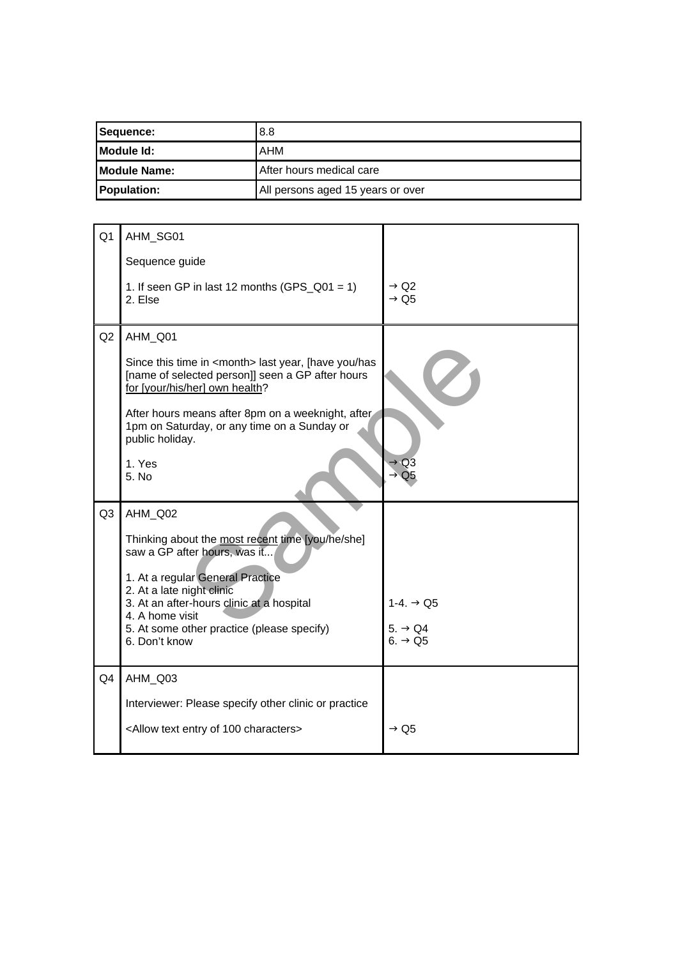| Sequence:           | 8.8                               |
|---------------------|-----------------------------------|
| Module Id:          | AHM                               |
| <b>Module Name:</b> | After hours medical care          |
| <b>Population:</b>  | All persons aged 15 years or over |

| Q <sub>1</sub> | AHM_SG01                                                                                                                                            |                                            |
|----------------|-----------------------------------------------------------------------------------------------------------------------------------------------------|--------------------------------------------|
|                | Sequence guide                                                                                                                                      |                                            |
|                | 1. If seen GP in last 12 months (GPS_Q01 = 1)<br>2. Else                                                                                            | $\rightarrow$ Q2<br>$\rightarrow$ Q5       |
| Q2             | AHM_Q01                                                                                                                                             |                                            |
|                | Since this time in <month> last year, [have you/has<br/>[name of selected person]] seen a GP after hours<br/>for [your/his/her] own health?</month> |                                            |
|                | After hours means after 8pm on a weeknight, after<br>1pm on Saturday, or any time on a Sunday or<br>public holiday.                                 |                                            |
|                | 1. Yes<br>5. No                                                                                                                                     | $\rightarrow$ Q3<br>Q <sub>5</sub>         |
| Q <sub>3</sub> | AHM_Q02<br>Thinking about the most recent time [you/he/she]<br>saw a GP after hours, was it                                                         |                                            |
|                | 1. At a regular General Practice<br>2. At a late night clinic<br>3. At an after-hours clinic at a hospital<br>4. A home visit                       | 1-4. $\rightarrow$ Q5                      |
|                | 5. At some other practice (please specify)<br>6. Don't know                                                                                         | $5. \rightarrow Q4$<br>6. $\rightarrow$ Q5 |
| Q4             | AHM Q03                                                                                                                                             |                                            |
|                | Interviewer: Please specify other clinic or practice                                                                                                |                                            |
|                | <allow 100="" characters="" entry="" of="" text=""></allow>                                                                                         | $\rightarrow$ Q5                           |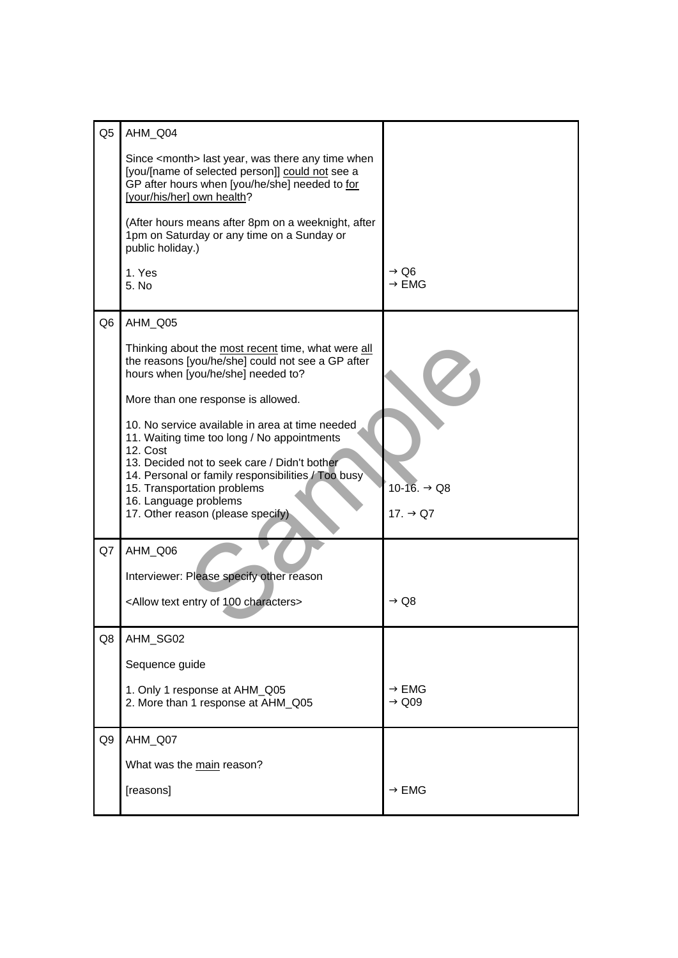| Q <sub>5</sub> | AHM_Q04                                                                                                                                                                                        |                                        |
|----------------|------------------------------------------------------------------------------------------------------------------------------------------------------------------------------------------------|----------------------------------------|
|                | Since <month> last year, was there any time when<br/>[you/[name of selected person]] could not see a<br/>GP after hours when [you/he/she] needed to for<br/>[your/his/her] own health?</month> |                                        |
|                | (After hours means after 8pm on a weeknight, after<br>1pm on Saturday or any time on a Sunday or<br>public holiday.)                                                                           |                                        |
|                | 1. Yes<br>5. No                                                                                                                                                                                | $\rightarrow$ Q6<br>$\rightarrow$ EMG  |
| Q6             | AHM_Q05                                                                                                                                                                                        |                                        |
|                | Thinking about the most recent time, what were all<br>the reasons [you/he/she] could not see a GP after<br>hours when [you/he/she] needed to?                                                  |                                        |
|                | More than one response is allowed.                                                                                                                                                             |                                        |
|                | 10. No service available in area at time needed<br>11. Waiting time too long / No appointments<br>12. Cost                                                                                     |                                        |
|                | 13. Decided not to seek care / Didn't bother<br>14. Personal or family responsibilities / Too busy                                                                                             |                                        |
|                | 15. Transportation problems<br>16. Language problems                                                                                                                                           | 10-16. → Q8                            |
|                | 17. Other reason (please specify)                                                                                                                                                              | 17. $\rightarrow$ Q7                   |
| Q7             | AHM_Q06                                                                                                                                                                                        |                                        |
|                | Interviewer: Please specify other reason                                                                                                                                                       |                                        |
|                | <allow 100="" characters="" entry="" of="" text=""></allow>                                                                                                                                    | $\rightarrow$ Q8                       |
| Q8             | AHM_SG02                                                                                                                                                                                       |                                        |
|                | Sequence guide                                                                                                                                                                                 |                                        |
|                | 1. Only 1 response at AHM_Q05<br>2. More than 1 response at AHM_Q05                                                                                                                            | $\rightarrow$ EMG<br>$\rightarrow$ Q09 |
| Q9             | AHM_Q07                                                                                                                                                                                        |                                        |
|                | What was the main reason?                                                                                                                                                                      |                                        |
|                | [reasons]                                                                                                                                                                                      | $\rightarrow$ EMG                      |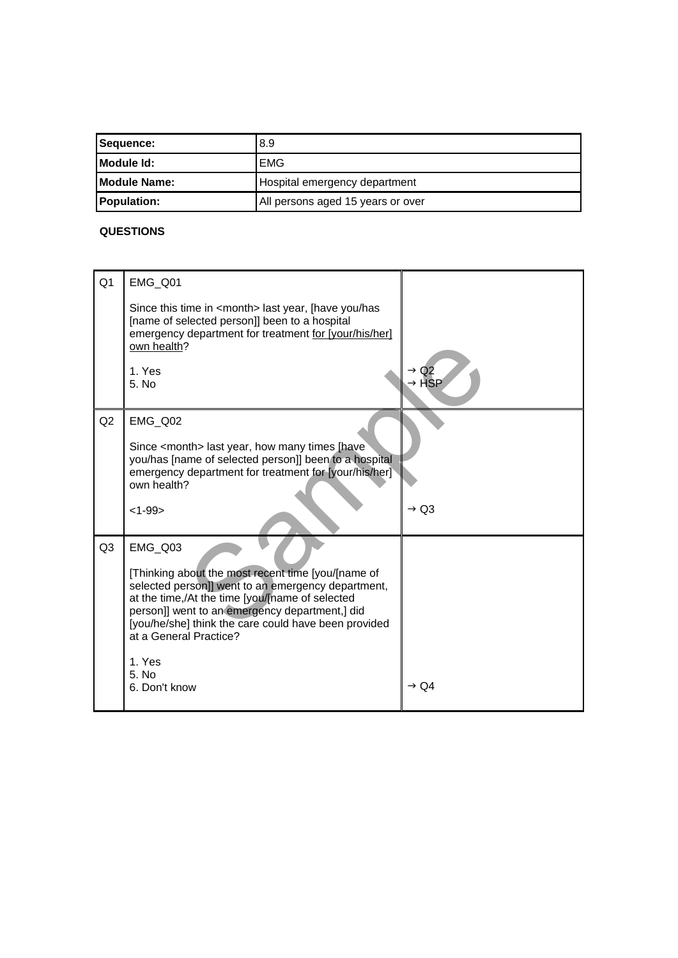| Sequence:           | 8.9                               |
|---------------------|-----------------------------------|
| Module Id:          | EMG                               |
| <b>Module Name:</b> | Hospital emergency department     |
| <b>Population:</b>  | All persons aged 15 years or over |

## **QUESTIONS**

| Q <sub>1</sub> | EMG_Q01                                                                                                                                                                                                                                                                                                                                         |                   |
|----------------|-------------------------------------------------------------------------------------------------------------------------------------------------------------------------------------------------------------------------------------------------------------------------------------------------------------------------------------------------|-------------------|
|                | Since this time in <month> last year, [have you/has<br/>[name of selected person]] been to a hospital<br/>emergency department for treatment for [your/his/her]<br/>own health?<br/>1. Yes</month>                                                                                                                                              | $\rightarrow$ Q2  |
|                | 5. No                                                                                                                                                                                                                                                                                                                                           | $\rightarrow$ HSP |
| Q2             | EMG Q02<br>Since <month> last year, how many times [have]<br/>you/has [name of selected person]] been to a hospital<br/>emergency department for treatment for [your/his/her]<br/>own health?<br/><math>&lt;1 - 99</math></month>                                                                                                               | $\rightarrow$ Q3  |
| Q <sub>3</sub> | EMG_Q03<br>[Thinking about the most recent time [you/[name of<br>selected person]] went to an emergency department,<br>at the time,/At the time [you/[name of selected<br>person]] went to an emergency department,] did<br>[you/he/she] think the care could have been provided<br>at a General Practice?<br>1. Yes<br>5. No.<br>6. Don't know | $\rightarrow$ Q4  |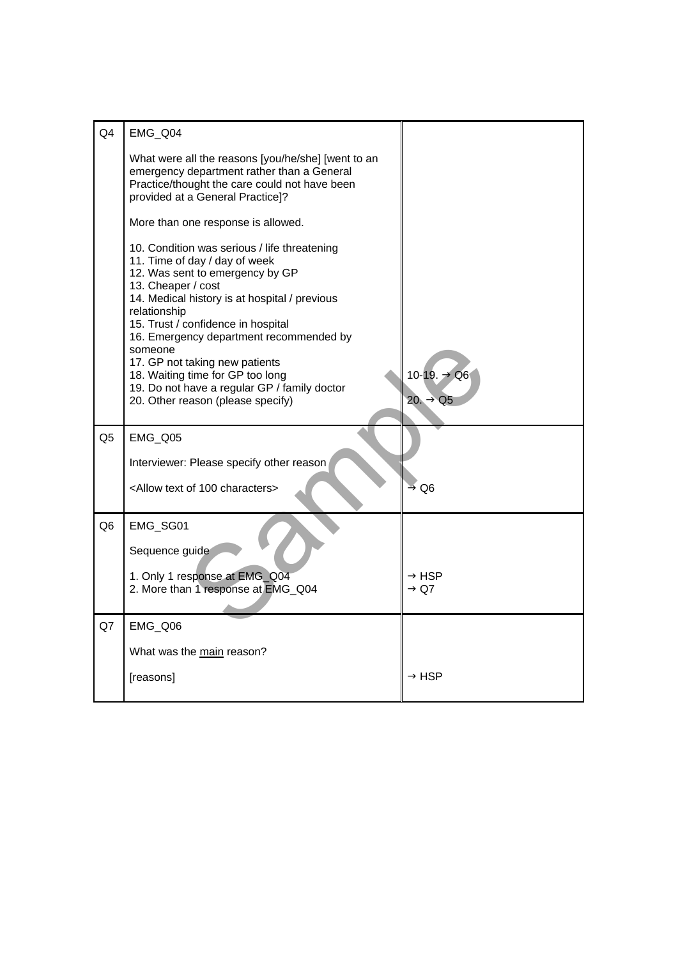| Q <sub>4</sub> | EMG_Q04                                                                                                                                                                                                                                                                                                                                                                                                                                                        |                                       |
|----------------|----------------------------------------------------------------------------------------------------------------------------------------------------------------------------------------------------------------------------------------------------------------------------------------------------------------------------------------------------------------------------------------------------------------------------------------------------------------|---------------------------------------|
|                | What were all the reasons [you/he/she] [went to an<br>emergency department rather than a General<br>Practice/thought the care could not have been<br>provided at a General Practice]?                                                                                                                                                                                                                                                                          |                                       |
|                | More than one response is allowed.                                                                                                                                                                                                                                                                                                                                                                                                                             |                                       |
|                | 10. Condition was serious / life threatening<br>11. Time of day / day of week<br>12. Was sent to emergency by GP<br>13. Cheaper / cost<br>14. Medical history is at hospital / previous<br>relationship<br>15. Trust / confidence in hospital<br>16. Emergency department recommended by<br>someone<br>17. GP not taking new patients<br>18. Waiting time for GP too long<br>19. Do not have a regular GP / family doctor<br>20. Other reason (please specify) | 10-19. → Q6<br>$20. \rightarrow Q5$   |
| Q5             | EMG_Q05                                                                                                                                                                                                                                                                                                                                                                                                                                                        |                                       |
|                | Interviewer: Please specify other reason                                                                                                                                                                                                                                                                                                                                                                                                                       |                                       |
|                | <allow 100="" characters="" of="" text=""></allow>                                                                                                                                                                                                                                                                                                                                                                                                             | $\rightarrow$ Q6                      |
| Q <sub>6</sub> | EMG_SG01<br>Sequence guide                                                                                                                                                                                                                                                                                                                                                                                                                                     |                                       |
|                | 1. Only 1 response at EMG_Q04<br>2. More than 1 response at EMG_Q04                                                                                                                                                                                                                                                                                                                                                                                            | $\rightarrow$ HSP<br>$\rightarrow$ Q7 |
| Q7             | EMG_Q06                                                                                                                                                                                                                                                                                                                                                                                                                                                        |                                       |
|                | What was the main reason?                                                                                                                                                                                                                                                                                                                                                                                                                                      |                                       |
|                | [reasons]                                                                                                                                                                                                                                                                                                                                                                                                                                                      | $\rightarrow$ HSP                     |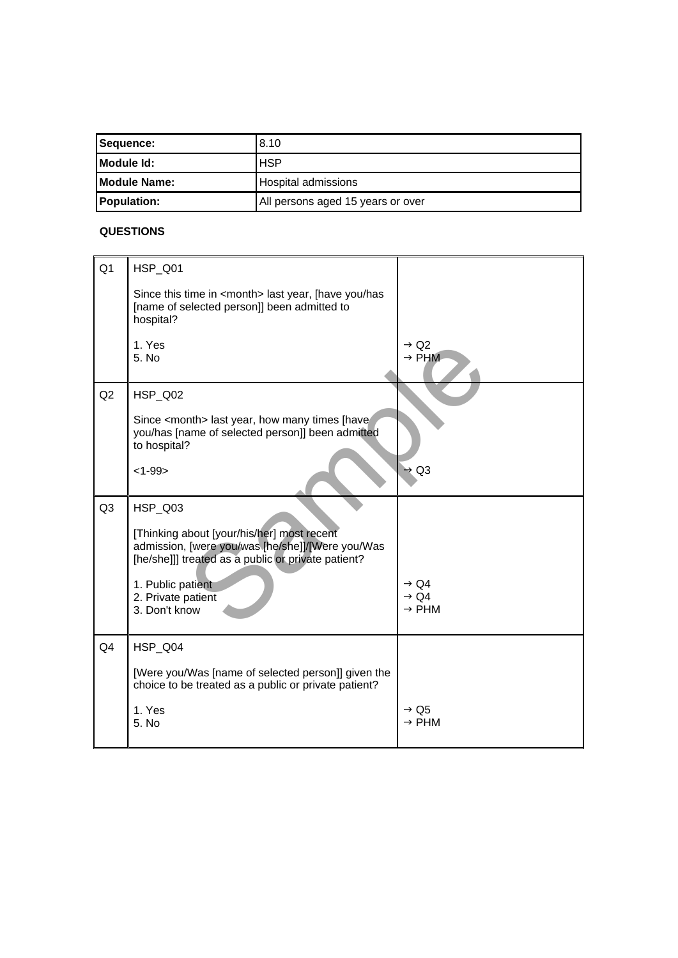| Sequence:            | 8.10                              |
|----------------------|-----------------------------------|
| <b>IModule Id:</b>   | <b>HSP</b>                        |
| <b>IModule Name:</b> | Hospital admissions               |
| <b>Population:</b>   | All persons aged 15 years or over |

## **QUESTIONS**

| Q <sub>1</sub> | HSP_Q01                                                                                                                                              |                                       |
|----------------|------------------------------------------------------------------------------------------------------------------------------------------------------|---------------------------------------|
|                | Since this time in <month> last year, [have you/has<br/>[name of selected person]] been admitted to<br/>hospital?</month>                            |                                       |
|                | 1. Yes<br>5. No                                                                                                                                      | $\rightarrow$ Q2<br>$\rightarrow$ PHM |
| Q2             | HSP_Q02                                                                                                                                              |                                       |
|                | Since <month> last year, how many times [have<br/>you/has [name of selected person]] been admitted<br/>to hospital?</month>                          |                                       |
|                | $<1 - 99$                                                                                                                                            | $\rightarrow$ Q3                      |
| Q <sub>3</sub> | HSP_Q03                                                                                                                                              |                                       |
|                | [Thinking about [your/his/her] most recent<br>admission, [were you/was [he/she]]/[Were you/Was<br>[he/she]]] treated as a public or private patient? |                                       |
|                | 1. Public patient<br>2. Private patient                                                                                                              | → Q4<br>$\rightarrow$ Q4              |
|                | 3. Don't know                                                                                                                                        | $\rightarrow$ PHM                     |
| Q4             | HSP_Q04                                                                                                                                              |                                       |
|                | [Were you/Was [name of selected person]] given the<br>choice to be treated as a public or private patient?                                           |                                       |
|                | 1. Yes<br>5. No                                                                                                                                      | $\rightarrow$ Q5<br>$\rightarrow$ PHM |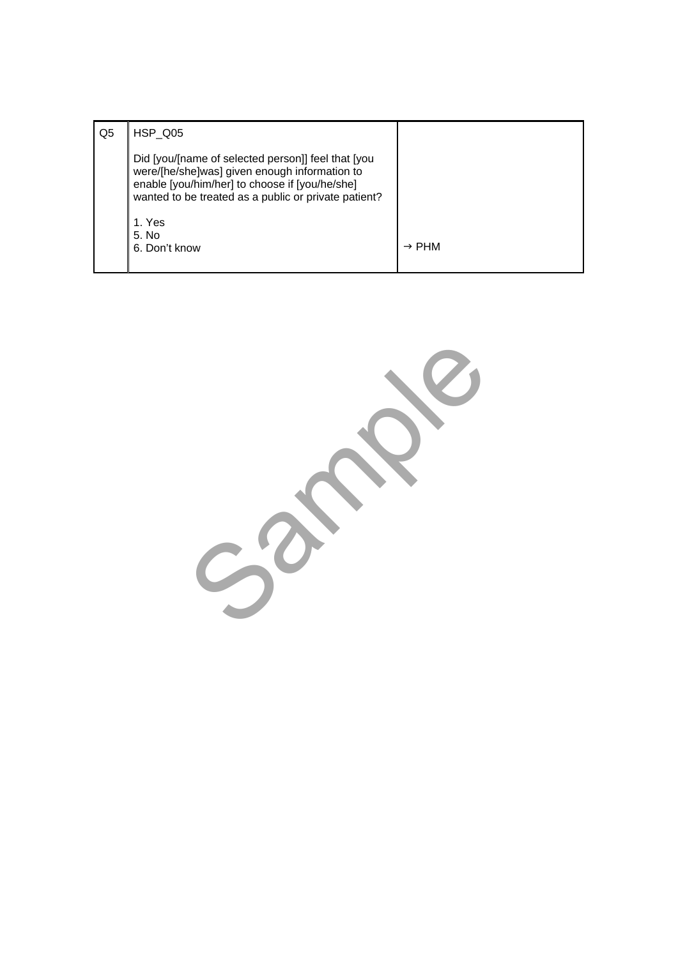| Q5 | HSP Q05                                                                                                                                                                                                       |                   |
|----|---------------------------------------------------------------------------------------------------------------------------------------------------------------------------------------------------------------|-------------------|
|    | Did [you/[name of selected person]] feel that [you<br>were/[he/she]was] given enough information to<br>enable [you/him/her] to choose if [you/he/she]<br>wanted to be treated as a public or private patient? |                   |
|    | 1. Yes<br>5. No<br>6. Don't know                                                                                                                                                                              | $\rightarrow$ PHM |

Sample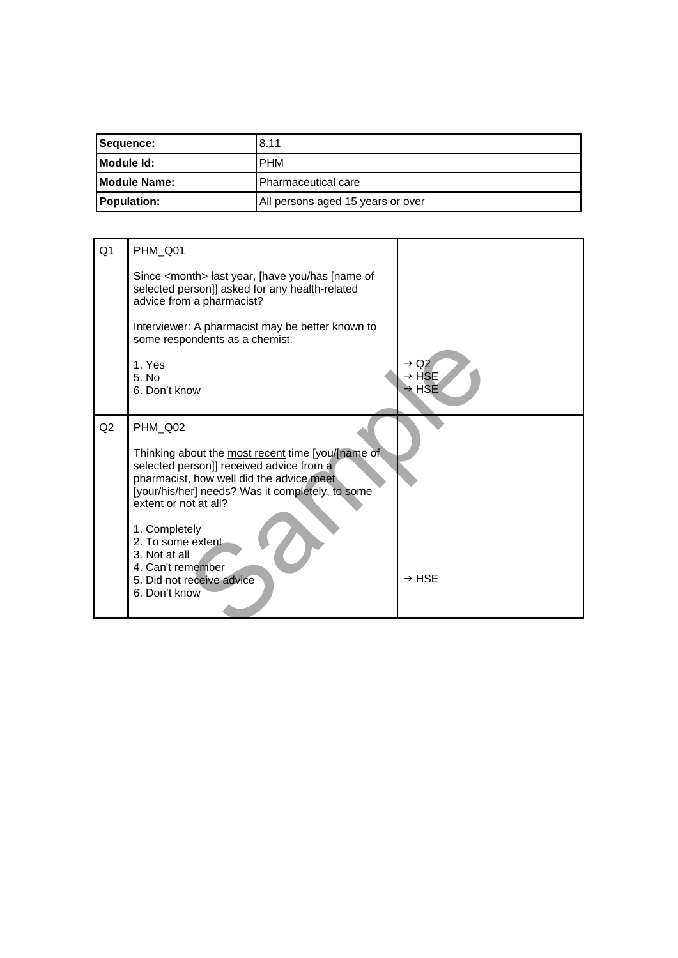| Sequence:            | 8.11                              |
|----------------------|-----------------------------------|
| <b>IModule Id:</b>   | <b>PHM</b>                        |
| <b>IModule Name:</b> | Pharmaceutical care               |
| <b>Population:</b>   | All persons aged 15 years or over |

| Q <sub>1</sub> | PHM_Q01                                                                                                                                                                                                                |                                                |
|----------------|------------------------------------------------------------------------------------------------------------------------------------------------------------------------------------------------------------------------|------------------------------------------------|
|                | Since <month> last year, [have you/has [name of<br/>selected person]] asked for any health-related<br/>advice from a pharmacist?</month>                                                                               |                                                |
|                | Interviewer: A pharmacist may be better known to<br>some respondents as a chemist.                                                                                                                                     |                                                |
|                | 1. Yes<br>5. N <sub>0</sub><br>6. Don't know                                                                                                                                                                           | $\rightarrow$ Q2<br>→ HSE<br>$\rightarrow$ HSE |
| Q2             | PHM_Q02                                                                                                                                                                                                                |                                                |
|                | Thinking about the most recent time [you/[name of<br>selected person]] received advice from a<br>pharmacist, how well did the advice meet<br>[your/his/her] needs? Was it completely, to some<br>extent or not at all? |                                                |
|                | 1. Completely<br>2. To some extent<br>3. Not at all<br>4. Can't remember<br>5. Did not receive advice<br>6. Don't know                                                                                                 | $\rightarrow$ HSE                              |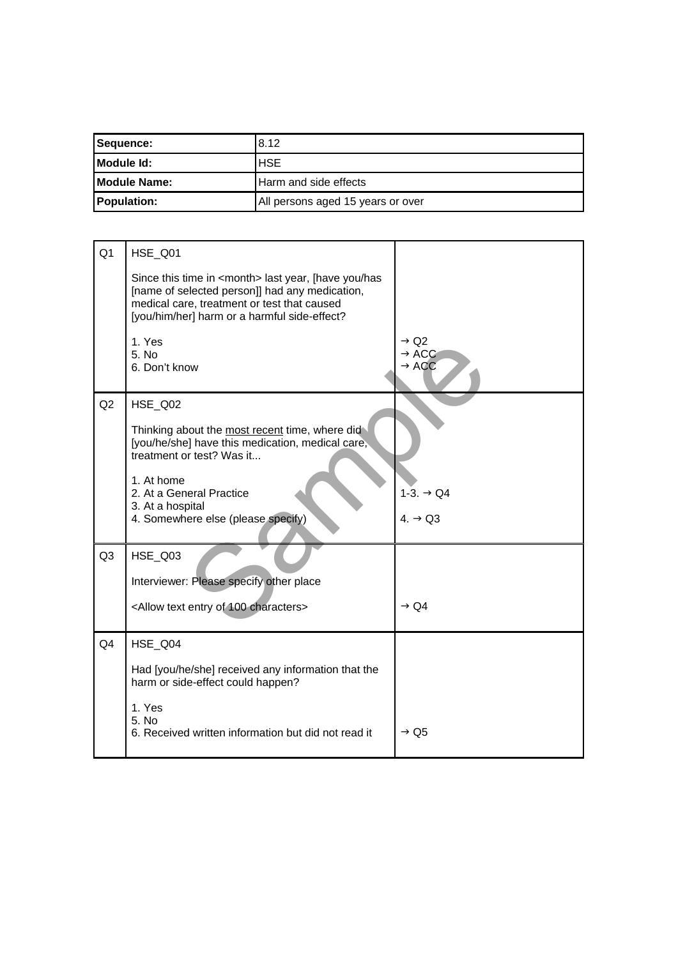| Sequence:            | 8.12                              |
|----------------------|-----------------------------------|
| <b>IModule Id:</b>   | <b>HSE</b>                        |
| <b>IModule Name:</b> | Harm and side effects             |
| <b>Population:</b>   | All persons aged 15 years or over |

| Q <sub>1</sub> | HSE_Q01                                                                                                                                                                                                         |                                                            |
|----------------|-----------------------------------------------------------------------------------------------------------------------------------------------------------------------------------------------------------------|------------------------------------------------------------|
|                | Since this time in <month> last year, [have you/has<br/>[name of selected person]] had any medication,<br/>medical care, treatment or test that caused<br/>[you/him/her] harm or a harmful side-effect?</month> |                                                            |
|                | 1. Yes<br>5. No<br>6. Don't know                                                                                                                                                                                | $\rightarrow$ Q2<br>$\rightarrow$ ACC<br>$\rightarrow$ ACC |
| Q2             | HSE_Q02                                                                                                                                                                                                         |                                                            |
|                | Thinking about the most recent time, where did<br>[you/he/she] have this medication, medical care,<br>treatment or test? Was it                                                                                 |                                                            |
|                | 1. At home<br>2. At a General Practice<br>3. At a hospital                                                                                                                                                      | $1-3. \rightarrow Q4$                                      |
|                | 4. Somewhere else (please specify)                                                                                                                                                                              | $4. \rightarrow Q3$                                        |
| Q <sub>3</sub> | <b>HSE_Q03</b>                                                                                                                                                                                                  |                                                            |
|                | Interviewer: Please specify other place                                                                                                                                                                         |                                                            |
|                | <allow 100="" characters="" entry="" of="" text=""></allow>                                                                                                                                                     | $\rightarrow$ Q4                                           |
| Q <sub>4</sub> | HSE Q04                                                                                                                                                                                                         |                                                            |
|                | Had [you/he/she] received any information that the<br>harm or side-effect could happen?                                                                                                                         |                                                            |
|                | 1. Yes<br>5. No<br>6. Received written information but did not read it                                                                                                                                          | $\rightarrow$ Q5                                           |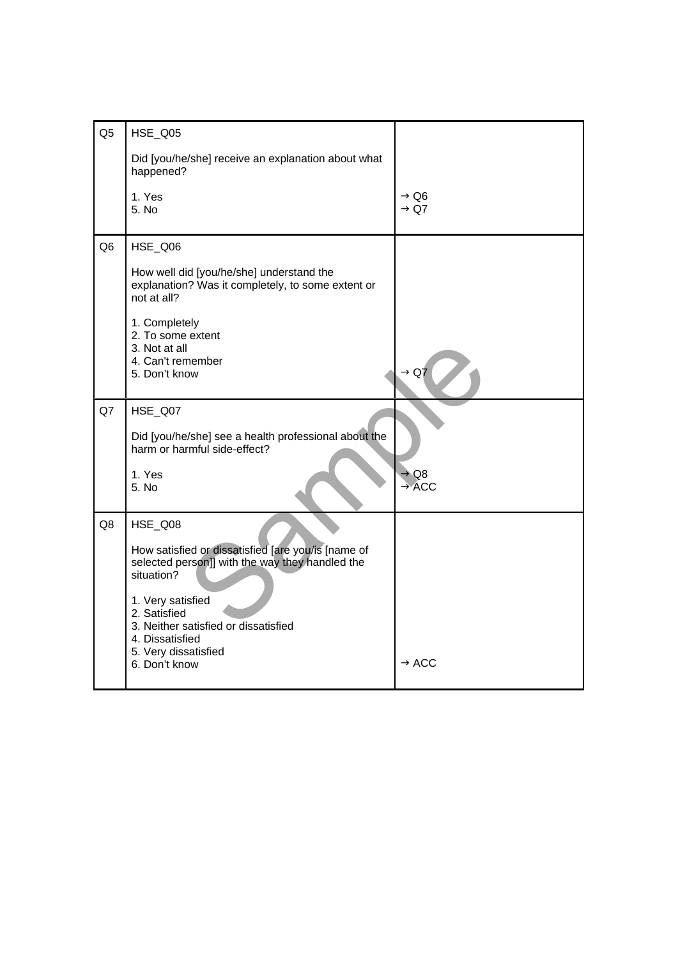| Q <sub>5</sub> | HSE_Q05                                                                                                                                                                                                                                                                 |                                       |
|----------------|-------------------------------------------------------------------------------------------------------------------------------------------------------------------------------------------------------------------------------------------------------------------------|---------------------------------------|
|                | Did [you/he/she] receive an explanation about what<br>happened?                                                                                                                                                                                                         |                                       |
|                | 1. Yes<br>5. No                                                                                                                                                                                                                                                         | → Q6<br>$\rightarrow$ Q7              |
| Q <sub>6</sub> | HSE_Q06                                                                                                                                                                                                                                                                 |                                       |
|                | How well did [you/he/she] understand the<br>explanation? Was it completely, to some extent or<br>not at all?                                                                                                                                                            |                                       |
|                | 1. Completely<br>2. To some extent<br>3. Not at all<br>4. Can't remember<br>5. Don't know                                                                                                                                                                               | $\rightarrow$ Q7                      |
| Q7             | HSE_Q07<br>Did [you/he/she] see a health professional about the<br>harm or harmful side-effect?<br>1. Yes<br>5. No                                                                                                                                                      | $\rightarrow$ Q8<br>$\rightarrow$ ACC |
| Q8             | HSE_Q08<br>How satisfied or dissatisfied [are you/is [name of<br>selected person]] with the way they handled the<br>situation?<br>1. Very satisfied<br>2. Satisfied<br>3. Neither satisfied or dissatisfied<br>4. Dissatisfied<br>5. Very dissatisfied<br>6. Don't know | $\rightarrow$ ACC                     |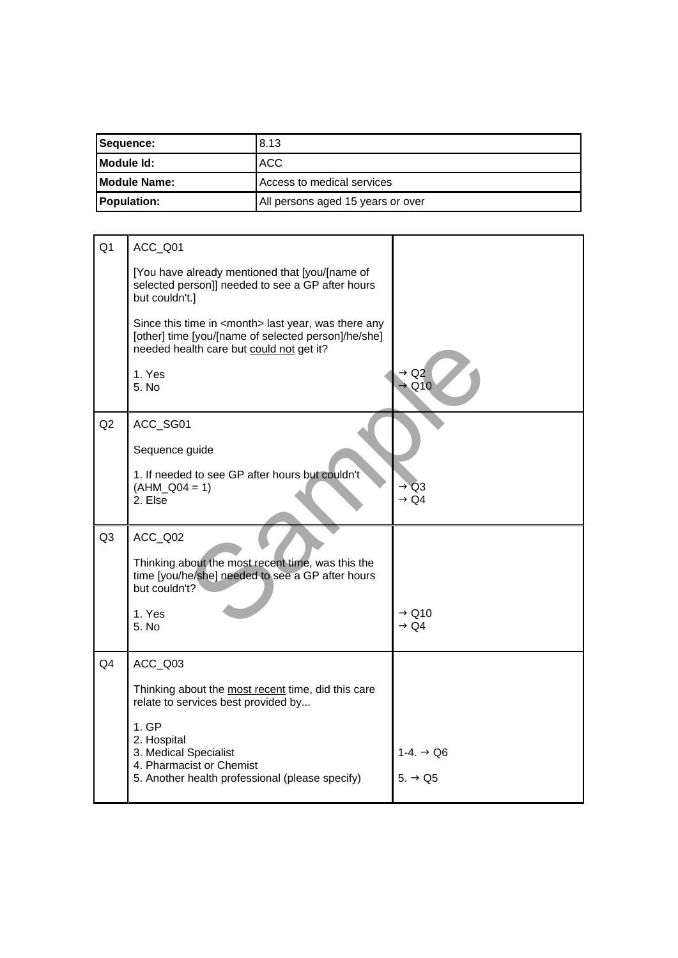| Sequence:                                               | 8.13 |
|---------------------------------------------------------|------|
| <b>IModule Id:</b>                                      | ACC  |
| Access to medical services<br><b>IModule Name:</b>      |      |
| <b>Population:</b><br>All persons aged 15 years or over |      |

| Q <sub>1</sub> | ACC_Q01                                                                                                                                                          |                                       |
|----------------|------------------------------------------------------------------------------------------------------------------------------------------------------------------|---------------------------------------|
|                | [You have already mentioned that [you/[name of<br>selected person]] needed to see a GP after hours<br>but couldn't.]                                             |                                       |
|                | Since this time in <month> last year, was there any<br/>[other] time [you/[name of selected person]/he/she]<br/>needed health care but could not get it?</month> |                                       |
|                | 1. Yes<br>5. No                                                                                                                                                  | $\rightarrow$ Q2<br>$\rightarrow$ Q10 |
| Q2             | ACC_SG01                                                                                                                                                         |                                       |
|                | Sequence guide                                                                                                                                                   |                                       |
|                | 1. If needed to see GP after hours but couldn't<br>$(AHM Q04 = 1)$<br>2. Else                                                                                    | $\rightarrow$ Q3<br>$\rightarrow$ Q4  |
| Q <sub>3</sub> | ACC_Q02                                                                                                                                                          |                                       |
|                | Thinking about the most recent time, was this the<br>time [you/he/she] needed to see a GP after hours<br>but couldn't?                                           |                                       |
|                | 1. Yes<br>5. No                                                                                                                                                  | $\rightarrow$ Q10<br>$\rightarrow$ Q4 |
| Q <sub>4</sub> | ACC_Q03                                                                                                                                                          |                                       |
|                | Thinking about the most recent time, did this care<br>relate to services best provided by                                                                        |                                       |
|                | 1.GP                                                                                                                                                             |                                       |
|                | 2. Hospital<br>3. Medical Specialist                                                                                                                             | 1-4. $\rightarrow$ Q6                 |
|                | 4. Pharmacist or Chemist<br>5. Another health professional (please specify)                                                                                      | 5. $\rightarrow$ Q5                   |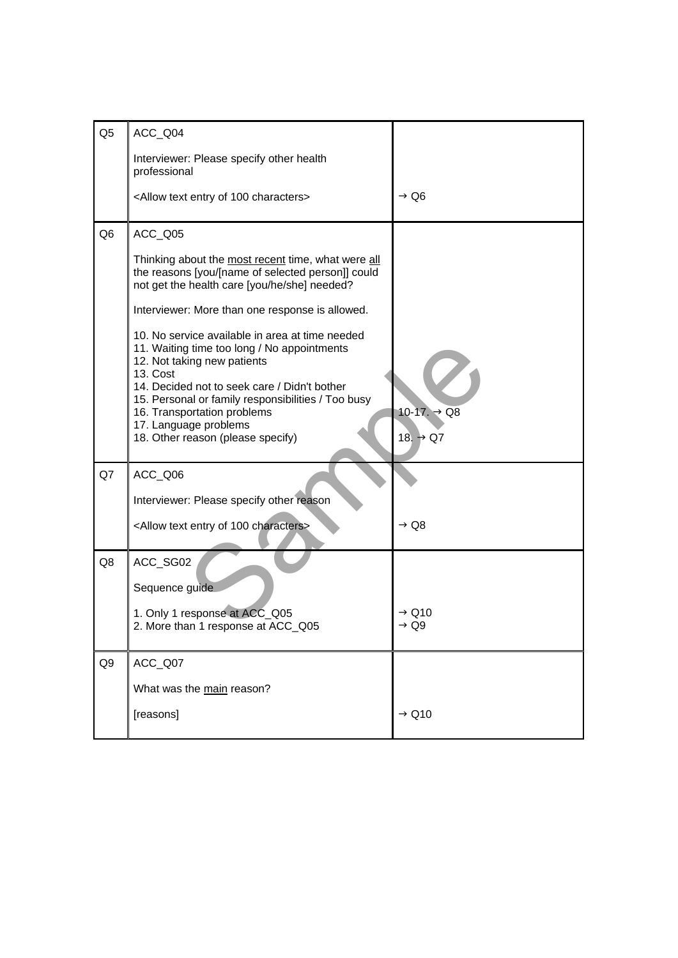| Q <sub>5</sub> | ACC_Q04                                                                                                                                                                                                                                                                                                                                      |                                                 |
|----------------|----------------------------------------------------------------------------------------------------------------------------------------------------------------------------------------------------------------------------------------------------------------------------------------------------------------------------------------------|-------------------------------------------------|
|                | Interviewer: Please specify other health<br>professional                                                                                                                                                                                                                                                                                     |                                                 |
|                | <allow 100="" characters="" entry="" of="" text=""></allow>                                                                                                                                                                                                                                                                                  | $\rightarrow$ Q6                                |
| Q <sub>6</sub> | ACC_Q05                                                                                                                                                                                                                                                                                                                                      |                                                 |
|                | Thinking about the most recent time, what were all<br>the reasons [you/[name of selected person]] could<br>not get the health care [you/he/she] needed?                                                                                                                                                                                      |                                                 |
|                | Interviewer: More than one response is allowed.                                                                                                                                                                                                                                                                                              |                                                 |
|                | 10. No service available in area at time needed<br>11. Waiting time too long / No appointments<br>12. Not taking new patients<br>13. Cost<br>14. Decided not to seek care / Didn't bother<br>15. Personal or family responsibilities / Too busy<br>16. Transportation problems<br>17. Language problems<br>18. Other reason (please specify) | $10-17. \rightarrow Q8$<br>18. $\rightarrow$ Q7 |
| Q7             | ACC_Q06                                                                                                                                                                                                                                                                                                                                      |                                                 |
|                | Interviewer: Please specify other reason                                                                                                                                                                                                                                                                                                     |                                                 |
|                | <allow 100="" characters="" entry="" of="" text=""></allow>                                                                                                                                                                                                                                                                                  | $\rightarrow$ Q8                                |
| Q8             | ACC_SG02                                                                                                                                                                                                                                                                                                                                     |                                                 |
|                | Sequence guide                                                                                                                                                                                                                                                                                                                               |                                                 |
|                | 1. Only 1 response at ACC_Q05<br>2. More than 1 response at ACC_Q05                                                                                                                                                                                                                                                                          | $\rightarrow$ Q10<br>→ Q9                       |
| Q <sub>9</sub> | ACC_Q07                                                                                                                                                                                                                                                                                                                                      |                                                 |
|                | What was the main reason?                                                                                                                                                                                                                                                                                                                    |                                                 |
|                | [reasons]                                                                                                                                                                                                                                                                                                                                    | $\rightarrow$ Q10                               |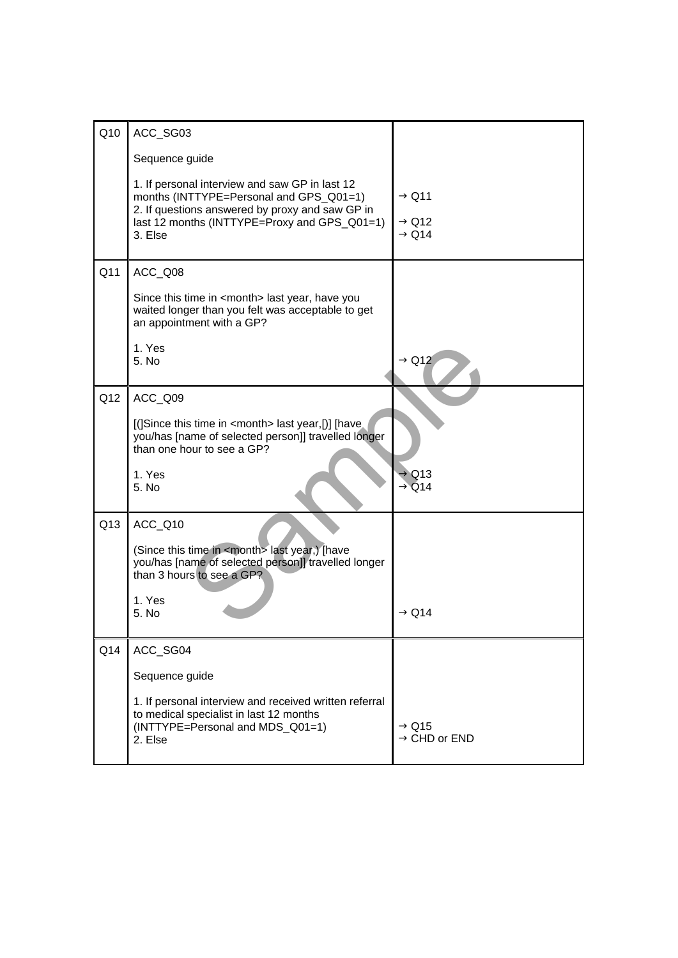| Q10 | ACC_SG03                                                                                                                                   |                            |
|-----|--------------------------------------------------------------------------------------------------------------------------------------------|----------------------------|
|     |                                                                                                                                            |                            |
|     | Sequence guide                                                                                                                             |                            |
|     | 1. If personal interview and saw GP in last 12<br>months (INTTYPE=Personal and GPS_Q01=1)                                                  | $\rightarrow$ Q11          |
|     | 2. If questions answered by proxy and saw GP in                                                                                            | $\rightarrow$ Q12          |
|     | last 12 months (INTTYPE=Proxy and GPS_Q01=1)<br>3. Else                                                                                    | $\rightarrow$ Q14          |
|     |                                                                                                                                            |                            |
| Q11 | ACC_Q08                                                                                                                                    |                            |
|     | Since this time in <month> last year, have you<br/>waited longer than you felt was acceptable to get<br/>an appointment with a GP?</month> |                            |
|     | 1. Yes                                                                                                                                     |                            |
|     | 5. No                                                                                                                                      | $\rightarrow$ Q12          |
|     |                                                                                                                                            |                            |
| Q12 | ACC_Q09                                                                                                                                    |                            |
|     | [(]Since this time in <month> last year,[)] [have</month>                                                                                  |                            |
|     | you/has [name of selected person]] travelled longer<br>than one hour to see a GP?                                                          |                            |
|     | 1. Yes                                                                                                                                     |                            |
|     | 5. No                                                                                                                                      | → Q13<br>$\rightarrow$ Q14 |
|     |                                                                                                                                            |                            |
| Q13 | ACC_Q10                                                                                                                                    |                            |
|     | (Since this time in <month> last year,) [have</month>                                                                                      |                            |
|     | you/has [name of selected person]] travelled longer<br>than 3 hours to see a GP?                                                           |                            |
|     |                                                                                                                                            |                            |
|     | 1. Yes<br>5. No                                                                                                                            | $\rightarrow$ Q14          |
|     |                                                                                                                                            |                            |
| Q14 | ACC_SG04                                                                                                                                   |                            |
|     | Sequence guide                                                                                                                             |                            |
|     | 1. If personal interview and received written referral                                                                                     |                            |
|     | to medical specialist in last 12 months<br>(INTTYPE=Personal and MDS_Q01=1)                                                                | $\rightarrow$ Q15          |
|     | 2. Else                                                                                                                                    | $\rightarrow$ CHD or END   |
|     |                                                                                                                                            |                            |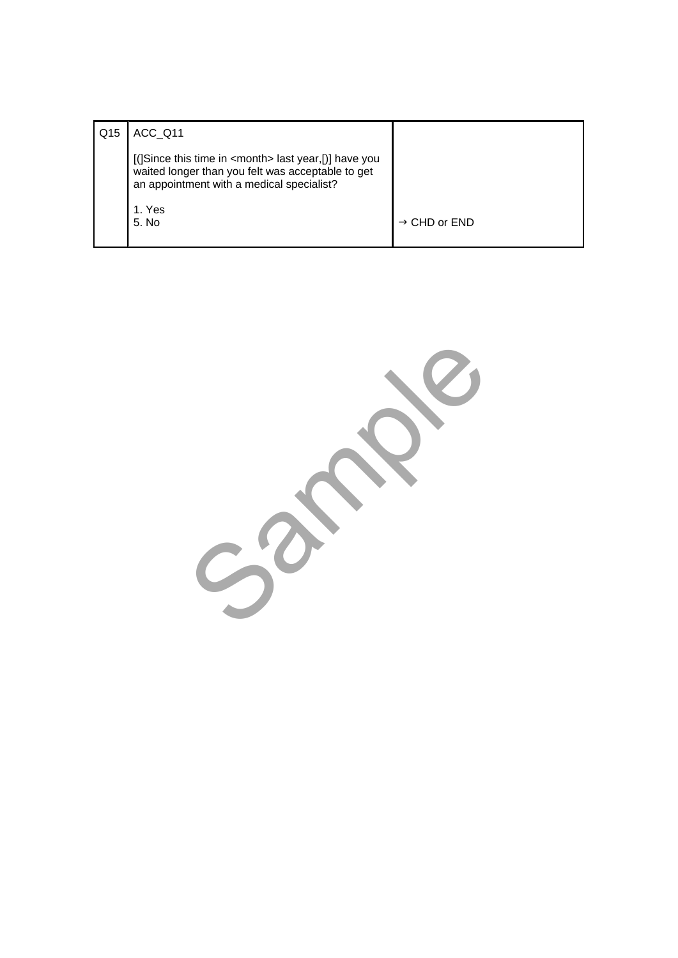| Q15 | ACC Q11                                                                                                                                                          |                          |
|-----|------------------------------------------------------------------------------------------------------------------------------------------------------------------|--------------------------|
|     | [(]Since this time in <month> last year,[)] have you<br/>waited longer than you felt was acceptable to get<br/>an appointment with a medical specialist?</month> |                          |
|     | 1. Yes<br>5. No                                                                                                                                                  | $\rightarrow$ CHD or END |

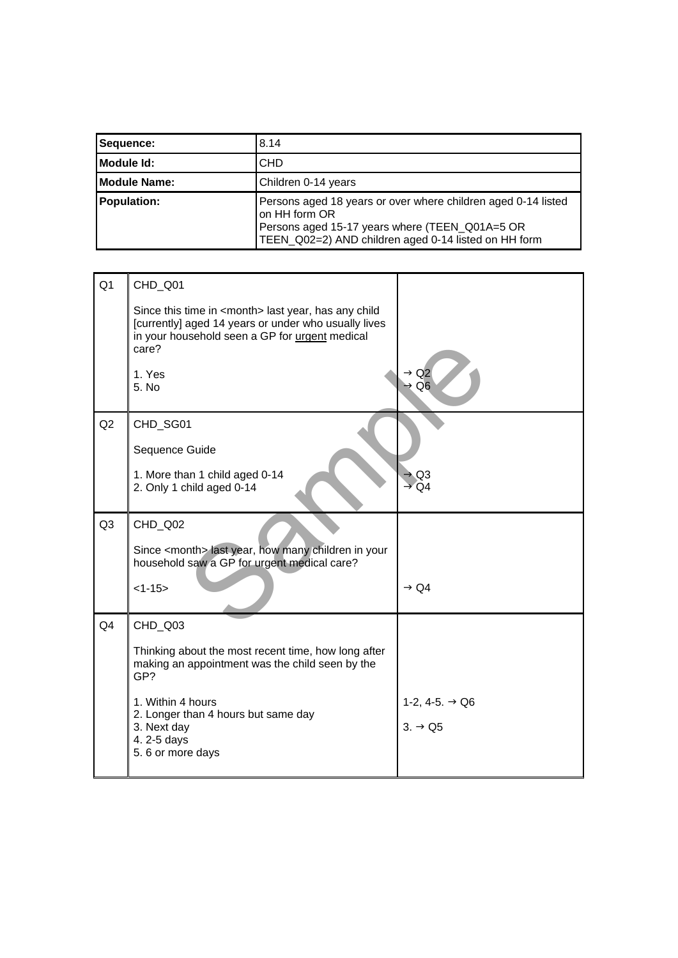| Sequence:           | 8.14                                                                                                                                                                                     |
|---------------------|------------------------------------------------------------------------------------------------------------------------------------------------------------------------------------------|
| Module Id:          | <b>CHD</b>                                                                                                                                                                               |
| <b>Module Name:</b> | Children 0-14 years                                                                                                                                                                      |
| <b>Population:</b>  | Persons aged 18 years or over where children aged 0-14 listed<br>on HH form OR<br>Persons aged 15-17 years where (TEEN_Q01A=5 OR<br>TEEN_Q02=2) AND children aged 0-14 listed on HH form |

| Q <sub>1</sub> | CHD_Q01                                                                                                                                                                           |                                                   |
|----------------|-----------------------------------------------------------------------------------------------------------------------------------------------------------------------------------|---------------------------------------------------|
|                | Since this time in <month> last year, has any child<br/>[currently] aged 14 years or under who usually lives<br/>in your household seen a GP for urgent medical<br/>care?</month> |                                                   |
|                | 1. Yes<br>5. No                                                                                                                                                                   | → Q2<br>$\rightarrow$ Q6                          |
| Q2             | CHD_SG01                                                                                                                                                                          |                                                   |
|                | Sequence Guide                                                                                                                                                                    |                                                   |
|                | 1. More than 1 child aged 0-14<br>2. Only 1 child aged 0-14                                                                                                                       | $\rightarrow$ Q3<br>$\rightarrow$ Q4              |
| Q <sub>3</sub> | CHD_Q02                                                                                                                                                                           |                                                   |
|                | Since <month> last year, how many children in your<br/>household saw a GP for urgent medical care?</month>                                                                        |                                                   |
|                | $<1-15>$                                                                                                                                                                          | $\rightarrow$ Q4                                  |
| Q <sub>4</sub> | CHD_Q03                                                                                                                                                                           |                                                   |
|                | Thinking about the most recent time, how long after<br>making an appointment was the child seen by the<br>GP?                                                                     |                                                   |
|                | 1. Within 4 hours<br>2. Longer than 4 hours but same day<br>3. Next day<br>4.2-5 days<br>5.6 or more days                                                                         | 1-2, 4-5. $\rightarrow$ Q6<br>$3. \rightarrow Q5$ |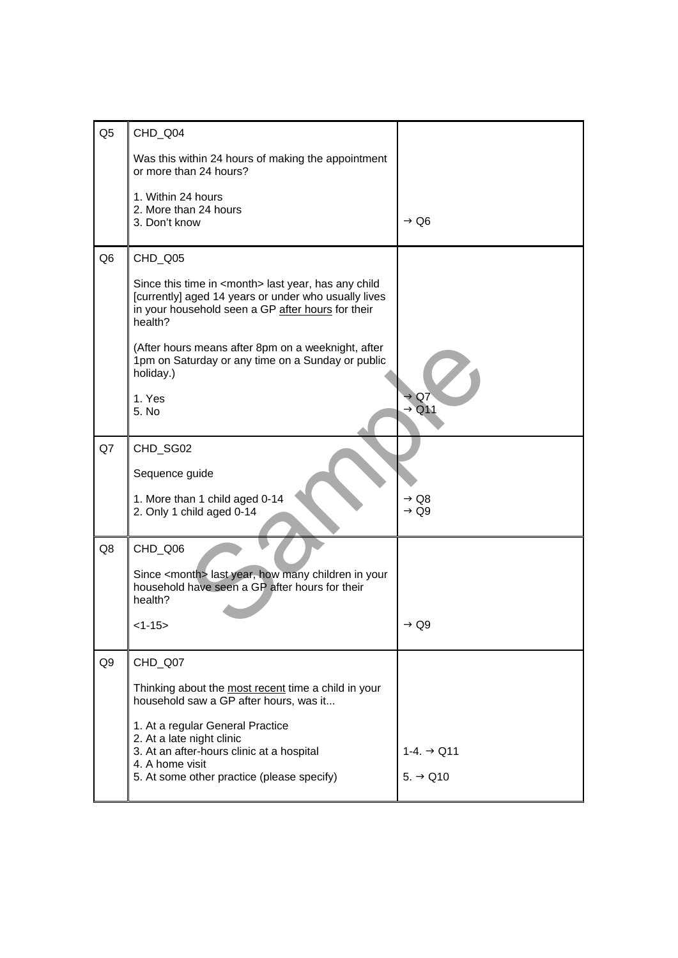| Q <sub>5</sub> | CHD_Q04                                                                                                                                                                                |                                      |
|----------------|----------------------------------------------------------------------------------------------------------------------------------------------------------------------------------------|--------------------------------------|
|                | Was this within 24 hours of making the appointment<br>or more than 24 hours?                                                                                                           |                                      |
|                | 1. Within 24 hours<br>2. More than 24 hours<br>3. Don't know                                                                                                                           | $\rightarrow$ Q6                     |
| Q <sub>6</sub> | CHD_Q05                                                                                                                                                                                |                                      |
|                | Since this time in <month> last year, has any child<br/>[currently] aged 14 years or under who usually lives<br/>in your household seen a GP after hours for their<br/>health?</month> |                                      |
|                | (After hours means after 8pm on a weeknight, after<br>1pm on Saturday or any time on a Sunday or public<br>holiday.)                                                                   |                                      |
|                | 1. Yes<br>5. No                                                                                                                                                                        | → Q7<br>$\rightarrow$ Q11            |
| Q7             | CHD_SG02                                                                                                                                                                               |                                      |
|                | Sequence guide                                                                                                                                                                         |                                      |
|                | 1. More than 1 child aged 0-14<br>2. Only 1 child aged 0-14                                                                                                                            | $\rightarrow$ Q8<br>$\rightarrow$ Q9 |
| Q8             | CHD_Q06                                                                                                                                                                                |                                      |
|                | Since <month> last year, how many children in your<br/>household have seen a GP after hours for their<br/>health?</month>                                                              |                                      |
|                | <1-15>                                                                                                                                                                                 | $\rightarrow$ Q9                     |
| Q9             | CHD_Q07                                                                                                                                                                                |                                      |
|                | Thinking about the most recent time a child in your<br>household saw a GP after hours, was it                                                                                          |                                      |
|                | 1. At a regular General Practice<br>2. At a late night clinic                                                                                                                          |                                      |
|                | 3. At an after-hours clinic at a hospital<br>4. A home visit                                                                                                                           | $1-4. \rightarrow Q11$               |
|                | 5. At some other practice (please specify)                                                                                                                                             | $5. \rightarrow Q10$                 |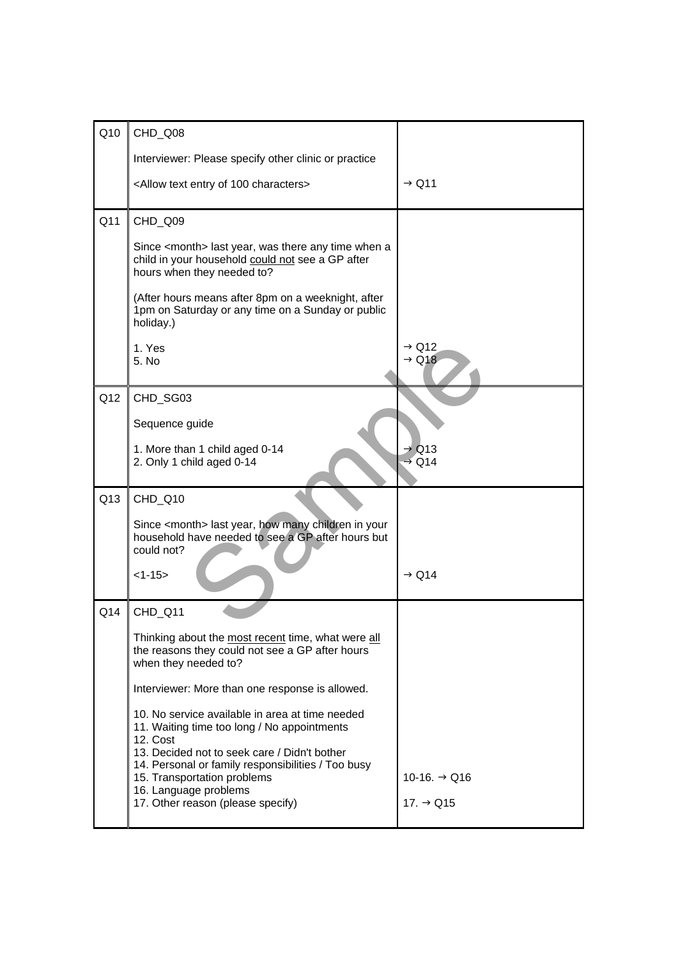| Q10 | CHD_Q08                                                                                                                                                    |                                        |
|-----|------------------------------------------------------------------------------------------------------------------------------------------------------------|----------------------------------------|
|     | Interviewer: Please specify other clinic or practice                                                                                                       |                                        |
|     | <allow 100="" characters="" entry="" of="" text=""></allow>                                                                                                | $\rightarrow$ Q11                      |
| Q11 | CHD_Q09                                                                                                                                                    |                                        |
|     | Since <month> last year, was there any time when a<br/>child in your household could not see a GP after<br/>hours when they needed to?</month>             |                                        |
|     | (After hours means after 8pm on a weeknight, after<br>1pm on Saturday or any time on a Sunday or public<br>holiday.)                                       |                                        |
|     | 1. Yes<br>5. No                                                                                                                                            | $\rightarrow$ Q12<br>$\rightarrow$ Q18 |
| Q12 | CHD_SG03                                                                                                                                                   |                                        |
|     | Sequence guide                                                                                                                                             |                                        |
|     | 1. More than 1 child aged 0-14<br>2. Only 1 child aged 0-14                                                                                                | $\rightarrow$ Q13<br>$\rightarrow$ Q14 |
| Q13 | CHD_Q10                                                                                                                                                    |                                        |
|     | Since <month> last year, how many children in your<br/>household have needed to see a GP after hours but<br/>could not?</month>                            |                                        |
|     | $<1-15>$                                                                                                                                                   | $\rightarrow$ Q14                      |
| Q14 | CHD_Q11                                                                                                                                                    |                                        |
|     | Thinking about the most recent time, what were all<br>the reasons they could not see a GP after hours<br>when they needed to?                              |                                        |
|     | Interviewer: More than one response is allowed.                                                                                                            |                                        |
|     | 10. No service available in area at time needed<br>11. Waiting time too long / No appointments<br>12. Cost                                                 |                                        |
|     | 13. Decided not to seek care / Didn't bother<br>14. Personal or family responsibilities / Too busy<br>15. Transportation problems<br>16. Language problems | 10-16. $\rightarrow$ Q16               |
|     | 17. Other reason (please specify)                                                                                                                          | 17. $\rightarrow$ Q15                  |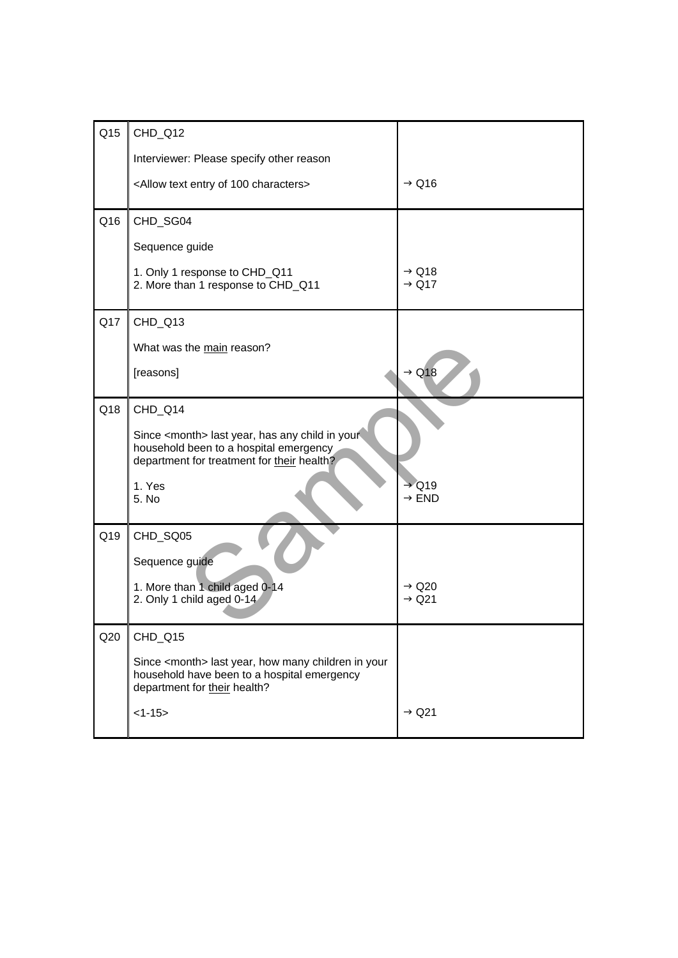| Q <sub>15</sub> | CHD_Q12                                                                                                                                          |                                        |
|-----------------|--------------------------------------------------------------------------------------------------------------------------------------------------|----------------------------------------|
|                 | Interviewer: Please specify other reason                                                                                                         |                                        |
|                 | <allow 100="" characters="" entry="" of="" text=""></allow>                                                                                      | $\rightarrow$ Q16                      |
| Q16             | CHD_SG04                                                                                                                                         |                                        |
|                 | Sequence guide                                                                                                                                   |                                        |
|                 | 1. Only 1 response to CHD_Q11<br>2. More than 1 response to CHD_Q11                                                                              | $\rightarrow$ Q18<br>$\rightarrow$ Q17 |
| Q17             | CHD_Q13                                                                                                                                          |                                        |
|                 | What was the main reason?                                                                                                                        |                                        |
|                 | [reasons]                                                                                                                                        | $\rightarrow$ Q18                      |
| Q18             | CHD_Q14                                                                                                                                          |                                        |
|                 | Since <month> last year, has any child in your<br/>household been to a hospital emergency<br/>department for treatment for their health?</month> |                                        |
|                 | 1. Yes<br>5. No                                                                                                                                  | $\rightarrow$ Q19<br>$\rightarrow$ END |
| Q19             | CHD_SQ05                                                                                                                                         |                                        |
|                 | Sequence guide                                                                                                                                   |                                        |
|                 | 1. More than 1 child aged 0-14<br>2. Only 1 child aged 0-14                                                                                      | $\rightarrow$ Q20<br>$\rightarrow$ Q21 |
| Q20             | CHD_Q15                                                                                                                                          |                                        |
|                 | Since <month> last year, how many children in your<br/>household have been to a hospital emergency<br/>department for their health?</month>      |                                        |
|                 | $<1-15>$                                                                                                                                         | $\rightarrow$ Q21                      |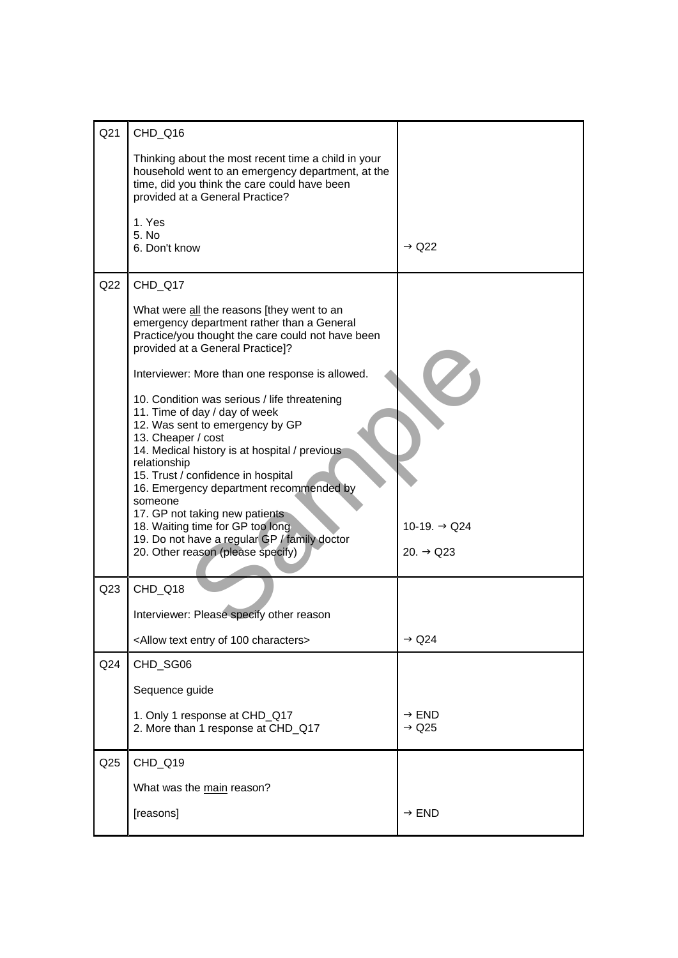| Q <sub>21</sub> | CHD_Q16                                                                                                                                                                                 |                                        |
|-----------------|-----------------------------------------------------------------------------------------------------------------------------------------------------------------------------------------|----------------------------------------|
|                 | Thinking about the most recent time a child in your                                                                                                                                     |                                        |
|                 | household went to an emergency department, at the<br>time, did you think the care could have been<br>provided at a General Practice?                                                    |                                        |
|                 | 1. Yes                                                                                                                                                                                  |                                        |
|                 | 5. No<br>6. Don't know                                                                                                                                                                  | $\rightarrow$ Q22                      |
| Q22             | CHD_Q17                                                                                                                                                                                 |                                        |
|                 | What were all the reasons [they went to an<br>emergency department rather than a General<br>Practice/you thought the care could not have been<br>provided at a General Practice]?       |                                        |
|                 | Interviewer: More than one response is allowed.                                                                                                                                         |                                        |
|                 | 10. Condition was serious / life threatening<br>11. Time of day / day of week<br>12. Was sent to emergency by GP<br>13. Cheaper / cost<br>14. Medical history is at hospital / previous |                                        |
|                 | relationship<br>15. Trust / confidence in hospital<br>16. Emergency department recommended by<br>someone<br>17. GP not taking new patients                                              |                                        |
|                 | 18. Waiting time for GP too long<br>19. Do not have a regular GP / family doctor<br>20. Other reason (please specify)                                                                   | 10-19. → Q24<br>20. $\rightarrow$ Q23  |
| Q <sub>23</sub> | CHD_Q18                                                                                                                                                                                 |                                        |
|                 | Interviewer: Please specify other reason                                                                                                                                                |                                        |
|                 | <allow 100="" characters="" entry="" of="" text=""></allow>                                                                                                                             | $\rightarrow$ Q24                      |
| Q24             | CHD_SG06                                                                                                                                                                                |                                        |
|                 | Sequence guide                                                                                                                                                                          |                                        |
|                 | 1. Only 1 response at CHD_Q17<br>2. More than 1 response at CHD_Q17                                                                                                                     | $\rightarrow$ END<br>$\rightarrow$ Q25 |
| Q25             | CHD_Q19                                                                                                                                                                                 |                                        |
|                 | What was the main reason?                                                                                                                                                               |                                        |
|                 | [reasons]                                                                                                                                                                               | $\rightarrow$ END                      |